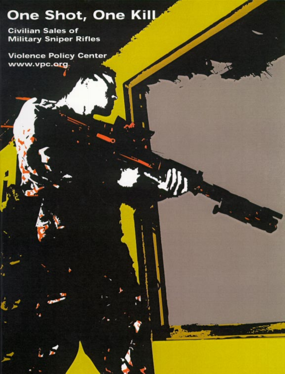# One Shot, One Kill

**Civilian Sales of Military Sniper Rifles** 

**Violence Policy Center** www.vpc.org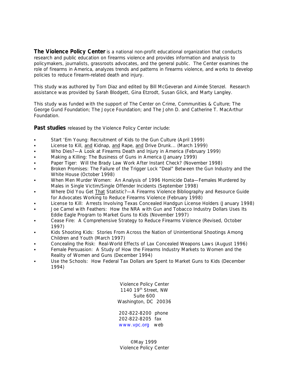**The Violence Policy Center** is a national non-profit educational organization that conducts research and public education on firearms violence and provides information and analysis to policymakers, journalists, grassroots advocates, and the general public. The Center examines the role of firearms in America, analyzes trends and patterns in firearms violence, and works to develop policies to reduce firearm-related death and injury.

This study was authored by Tom Diaz and edited by Bill McGeveran and Aimée Stenzel. Research assistance was provided by Sarah Blodgett, Gina Etzrodt, Susan Glick, and Marty Langley.

This study was funded with the support of The Center on Crime, Communities & Culture; The George Gund Foundation; The Joyce Foundation; and The John D. and Catherine T. MacArthur Foundation.

**Past studies** released by the Violence Policy Center include:

- Start 'Em Young: Recruitment of Kids to the Gun Culture (April 1999)
- License to Kill, and Kidnap, and Rape, and Drive Drunk... (March 1999)
- C *Who Dies?—A Look at Firearms Death and Injury in America* (February 1999)
- C *Making a Killing: The Business of Guns in America* (January 1999)
- Paper Tiger: Will the Brady Law Work After Instant Check? (November 1998)
- Broken Promises: The Failure of the Trigger Lock "Deal" Between the Gun Industry and the *White House* (October 1998)
- When Men Murder Women: An Analysis of 1996 Homicide Data—Females Murdered by *Males in Single Victim/Single Offender Incidents* (September 1998)
- Where Did You Get That Statistic?-A Firearms Violence Bibliography and Resource Guide *for Advocates Working to Reduce Firearms Violence* (February 1998)
- C *License to Kill: Arrests Involving Texas Concealed Handgun License Holders* (January 1998)
- Joe Camel with Feathers: How the NRA with Gun and Tobacco Industry Dollars Uses Its *Eddie Eagle Program to Market Guns to Kids* (November 1997)
- C *Cease Fire: A Comprehensive Strategy to Reduce Firearms Violence* (Revised, October 1997)
- Kids Shooting Kids: Stories From Across the Nation of Unintentional Shootings Among *Children and Youth* (March 1997)
- C *Concealing the Risk: Real-World Effects of Lax Concealed Weapons Laws* (August 1996)
- Female Persuasion: A Study of How the Firearms Industry Markets to Women and the *Reality of Women and Guns* (December 1994)
- C *Use the Schools: How Federal Tax Dollars are Spent to Market Guns to Kids* (December 1994)

Violence Policy Center 1140 19th Street, NW Suite 600 Washington, DC 20036

202-822-8200 phone 202-822-8205 fax www.vpc.org web

© May 1999 Violence Policy Center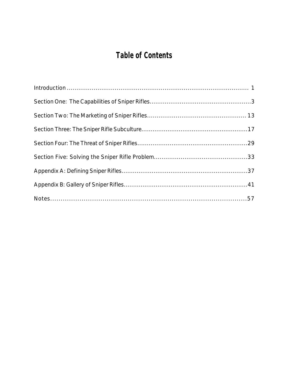## **Table of Contents**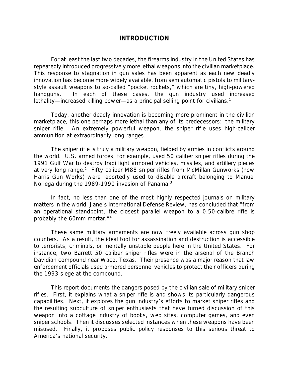## *INTRODUCTION*

For at least the last two decades, the firearms industry in the United States has repeatedly introduced progressively more lethal weapons into the civilian marketplace. This response to stagnation in gun sales has been apparent as each new deadly innovation has become more widely available, from semiautomatic pistols to militarystyle assault weapons to so-called "pocket rockets," which are tiny, high-powered handguns. In each of these cases, the gun industry used increased lethality—increased killing power—as a principal selling point for civilians.<sup>1</sup>

Today, another deadly innovation is becoming more prominent in the civilian marketplace, this one perhaps more lethal than any of its predecessors: the military sniper rifle. An extremely powerful weapon, the sniper rifle uses high-caliber ammunition at extraordinarily long ranges.

The sniper rifle is truly a military weapon, fielded by armies in conflicts around the world. U.S. armed forces, for example, used 50 caliber sniper rifles during the 1991 Gulf War to destroy Iraqi light armored vehicles, missiles, and artillery pieces at very long range.<sup>2</sup> Fifty caliber M88 sniper rifles from McMillan Gunworks (now Harris Gun Works) were reportedly used to disable aircraft belonging to Manuel Noriega during the 1989-1990 invasion of Panama.<sup>3</sup>

In fact, no less than one of the most highly respected journals on military matters in the world, Jane's *International Defense Review,* has concluded that "from an operational standpoint, the closest parallel weapon to a 0.50-calibre rifle is probably the 60mm mortar."<sup>4</sup>

These same military armaments are now freely available across gun shop counters. As a result, the ideal tool for assassination and destruction is accessible to terrorists, criminals, or mentally unstable people here in the United States. For instance, two Barrett 50 caliber sniper rifles were in the arsenal of the Branch Davidian compound near Waco, Texas. Their presence was a major reason that law enforcement officials used armored personnel vehicles to protect their officers during the 1993 siege at the compound.

This report documents the dangers posed by the civilian sale of military sniper rifles. First, it explains what a sniper rifle is and shows its particularly dangerous capabilities. Next, it explores the gun industry's efforts to market sniper rifles and the resulting subculture of sniper enthusiasts that have turned discussion of this weapon into a cottage industry of books, web sites, computer games, and even sniper schools. Then it discusses selected instances when these weapons have been misused. Finally, it proposes public policy responses to this serious threat to America's national security.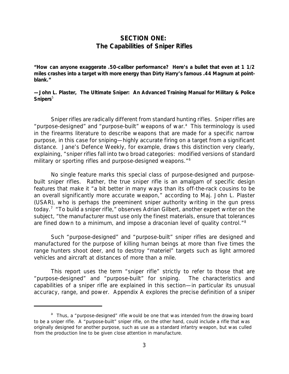## *SECTION ONE: The Capabilities of Sniper Rifles*

**"How can anyone exaggerate .50-caliber performance? Here's a bullet that even at 1 1/2** miles crashes into a target with more energy than Dirty Harry's famous .44 Magnum at point**blank."**

**—John L. Plaster,** *The Ultimate Sniper: An Advanced Training Manual for Military & Police* Snipers<sup>5</sup>

Sniper rifles are radically different from standard hunting rifles. Sniper rifles are "purpose-designed" and "purpose-built" weapons of war.<sup>a</sup> This terminology is used in the firearms literature to describe weapons that are made for a specific narrow purpose, in this case for sniping—highly accurate firing on a target from a significant distance. *Jane's Defence Weekly,* for example, draws this distinction very clearly, explaining, "sniper rifles fall into two broad categories: modified versions of standard military or sporting rifles and purpose-designed weapons."<sup>6</sup>

No single feature marks this special class of purpose-designed and purposebuilt sniper rifles. Rather, the true sniper rifle is an amalgam of specific design features that make it "a bit better in many ways than its off-the-rack cousins to be an overall significantly more accurate weapon," according to Maj. John L. Plaster (USAR), who is perhaps the preeminent sniper authority writing in the gun press today.<sup>7</sup> "To build a sniper rifle," observes Adrian Gilbert, another expert writer on the subject, "the manufacturer must use only the finest materials, ensure that tolerances are fined down to a minimum, and impose a draconian level of quality control."<sup>8</sup>

Such "purpose-designed" and "purpose-built" sniper rifles are designed and manufactured for the purpose of killing human beings at more than five times the range hunters shoot deer, and to destroy "materiel" targets such as light armored vehicles and aircraft at distances of more than a mile.

This report uses the term "sniper rifle" strictly to refer to those that are "purpose-designed" and "purpose-built" for sniping. The characteristics and capabilities of a sniper rifle are explained in this section—in particular its unusual accuracy, range, and power. Appendix A explores the precise definition of a sniper

<sup>&</sup>lt;sup>a</sup> Thus, a "purpose-designed" rifle would be one that was intended from the drawing board to be a sniper rifle. A "purpose-built" sniper rifle, on the other hand, could include a rifle that was originally designed for another purpose, such as use as a standard infantry weapon, but was culled from the production line to be given close attention in manufacture.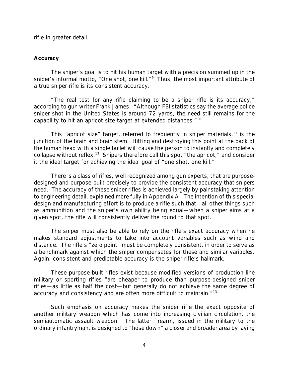rifle in greater detail.

## *Accuracy*

The sniper's goal is to hit his human target with a precision summed up in the sniper's informal motto, "One shot, one kill."<sup>9</sup> Thus, the most important attribute of a true sniper rifle is its *consistent* accuracy.

"The real test for any rifle claiming to be a sniper rifle is its accuracy," according to gun writer Frank James. "Although FBI statistics say the average police sniper shot in the United States is around 72 yards, the need still remains for the capability to hit an apricot size target at extended distances."<sup>10</sup>

This "apricot size" target, referred to frequently in sniper materials,  $11$  is the junction of the brain and brain stem. Hitting and destroying this point at the back of the human head with a single bullet will cause the person to instantly and completely collapse without reflex.<sup>12</sup> Snipers therefore call this spot "the apricot," and consider it the ideal target for achieving the ideal goal of "one shot, one kill."

There is a class of rifles, well recognized among gun experts, that are purposedesigned and purpose-built precisely to provide the consistent accuracy that snipers need. The accuracy of these sniper rifles is achieved largely by painstaking attention to engineering detail, explained more fully in Appendix A. The intention of this special design and manufacturing effort is to produce a rifle such that—all other things such as ammunition and the sniper's own ability being equal—when a sniper aims at a given spot, the rifle will consistently deliver the round to that spot.

The sniper must also be able to rely on the rifle's exact accuracy when he makes standard adjustments to take into account variables such as wind and distance. The rifle's "zero point" must be completely consistent, in order to serve as a benchmark against which the sniper compensates for these and similar variables. Again, consistent and predictable accuracy is the sniper rifle's hallmark.

These purpose-built rifles exist because modified versions of production line military or sporting rifles "are cheaper to produce than purpose-designed sniper rifles—as little as half the cost—but generally do not achieve the same degree of accuracy and consistency and are often more difficult to maintain."<sup>13</sup>

Such emphasis on accuracy makes the sniper rifle the exact opposite of another military weapon which has come into increasing civilian circulation, the semiautomatic assault weapon. The latter firearm, issued in the military to the ordinary infantryman, is designed to "hose down" a closer and broader area by laying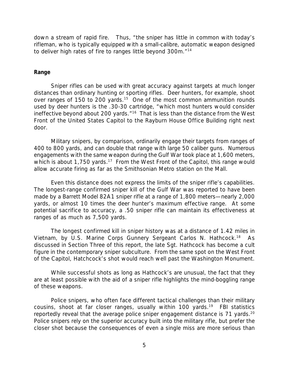down a stream of rapid fire. Thus, "the sniper has little in common with today's rifleman, who is typically equipped with a small-calibre, automatic weapon designed to deliver high rates of fire to ranges little beyond 300m."<sup>14</sup>

## *Range*

Sniper rifles can be used with great accuracy against targets at much longer distances than ordinary hunting or sporting rifles. Deer hunters, for example, shoot over ranges of 150 to 200 yards.<sup>15</sup> One of the most common ammunition rounds used by deer hunters is the .30-30 cartridge, "which most hunters would consider ineffective beyond about 200 yards."<sup>16</sup> That is less than the distance from the West Front of the United States Capitol to the Rayburn House Office Building right next door.

Military snipers, by comparison, ordinarily engage their targets from ranges of 400 to 800 yards, and can double that range with large 50 caliber guns. Numerous engagements with the same weapon during the Gulf War took place at 1,600 meters, which is about 1,750 yards.<sup>17</sup> From the West Front of the Capitol, this range would allow accurate firing as far as the Smithsonian Metro station on the Mall.

Even this distance does not express the limits of the sniper rifle's capabilities. The longest-range confirmed sniper kill of the Gulf War was reported to have been made by a Barrett Model 82A1 sniper rifle at a range of 1,800 meters—nearly 2,000 yards, or almost 10 times the deer hunter's maximum effective range. At some potential sacrifice to accuracy, a .50 sniper rifle can maintain its effectiveness at ranges of as much as 7,500 yards.

The longest confirmed kill in sniper history was at a distance of 1.42 miles in Vietnam, by U.S. Marine Corps Gunnery Sergeant Carlos N. Hathcock.<sup>18</sup> As discussed in Section Three of this report, the late Sgt. Hathcock has become a cult figure in the contemporary sniper subculture. From the same spot on the West Front of the Capitol, Hatchcock's shot would reach well past the Washington Monument.

While successful shots as long as Hathcock's are unusual, the fact that they are at least possible with the aid of a sniper rifle highlights the mind-boggling range of these weapons.

Police snipers, who often face different tactical challenges than their military cousins, shoot at far closer ranges, usually within 100 yards.<sup>19</sup> FBI statistics reportedly reveal that the average police sniper engagement distance is 71 yards.<sup>20</sup> Police snipers rely on the superior accuracy built into the military rifle, but prefer the closer shot because the consequences of even a single miss are more serious than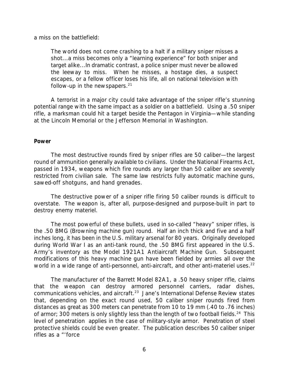a miss on the battlefield:

The world does not come crashing to a halt if a military sniper misses a shot...a miss becomes only a "learning experience" for both sniper and target alike...In dramatic contrast, a police sniper must *never* be allowed the leeway to miss. When he misses, a hostage dies, a suspect escapes, or a fellow officer loses his life, all on national television with follow-up in the newspapers. $21$ 

A terrorist in a major city could take advantage of the sniper rifle's stunning potential range with the same impact as a soldier on a battlefield. Using a .50 sniper rifle, a marksman could hit a target beside the Pentagon in Virginia—while standing at the Lincoln Memorial or the Jefferson Memorial in Washington.

## *Power*

The most destructive rounds fired by sniper rifles are 50 caliber—the largest round of ammunition generally available to civilians. Under the National Firearms Act, passed in 1934, weapons which fire rounds any larger than 50 caliber are severely restricted from civilian sale. The same law restricts fully automatic machine guns, sawed-off shotguns, and hand grenades.

The destructive power of a sniper rifle firing 50 caliber rounds is difficult to overstate. The weapon is, after all, purpose-designed and purpose-built in part to destroy enemy materiel.

The most powerful of these bullets, used in so-called "heavy" sniper rifles, is the .50 BMG (Browning machine gun) round. Half an inch thick and five and a half inches long, it has been in the U.S. military arsenal for 80 years. Originally developed during World War I as an anti-tank round, the .50 BMG first appeared in the U.S. Army's inventory as the Model 1921A1 Antiaircraft Machine Gun. Subsequent modifications of this heavy machine gun have been fielded by armies all over the world in a wide range of anti-personnel, anti-aircraft, and other anti-materiel uses.<sup>22</sup>

The manufacturer of the Barrett Model 82A1, a .50 heavy sniper rifle, claims that the weapon can destroy armored personnel carriers, radar dishes, communications vehicles, and aircraft.<sup>23</sup> Jane's *International Defense Review* states that, depending on the exact round used, 50 caliber sniper rounds fired from distances as great as 300 meters can penetrate from 10 to 19 mm (.40 to .76 inches) of armor; 300 meters is only slightly less than the length of two football fields.<sup>24</sup> This level of penetration applies in the case of military-style armor. Penetration of steel protective shields could be even greater. The publication describes 50 caliber sniper rifles as a "'force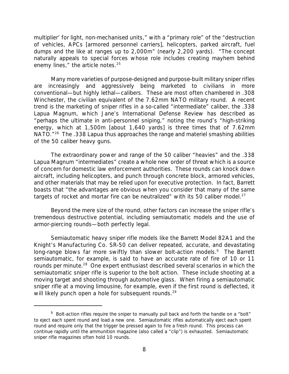multiplier' for light, non-mechanised units," with a "primary role" of the "destruction of vehicles, APCs [armored personnel carriers], helicopters, parked aircraft, fuel dumps and the like at ranges up to 2,000m" (nearly 2,200 yards). "The concept naturally appeals to special forces whose role includes creating mayhem behind enemy lines," the article notes.<sup>25</sup>

Many more varieties of purpose-designed and purpose-built military sniper rifles are increasingly and aggressively being marketed to civilians in more conventional—but highly lethal—calibers. These are most often chambered in .308 Winchester, the civilian equivalent of the 7.62mm NATO military round. A recent trend is the marketing of sniper rifles in a so-called "intermediate" caliber, the .338 Lapua Magnum, which Jane's *International Defense Review* has described as "perhaps the ultimate in anti-personnel sniping," noting the round's "high-striking energy, which at 1,500m [about 1,640 yards] is three times that of 7.62mm NATO.<sup>"26</sup> The .338 Lapua thus approaches the range and materiel smashing abilities of the 50 caliber heavy guns.

The extraordinary power and range of the 50 caliber "heavies" and the .338 Lapua Magnum "intermediates" create a whole new order of threat which is a source of concern for domestic law enforcement authorities. These rounds can knock down aircraft, including helicopters, and punch through concrete block, armored vehicles, and other materials that may be relied upon for executive protection. In fact, Barrett boasts that "the advantages are obvious when you consider that many of the same targets of rocket and mortar fire can be neutralized" with its 50 caliber model.<sup>27</sup>

Beyond the mere size of the round, other factors can increase the sniper rifle's tremendous destructive potential, including semiautomatic models and the use of armor-piercing rounds—both perfectly legal.

Semiautomatic heavy sniper rifle models like the Barrett Model 82A1 and the Knight's Manufacturing Co. SR-50 can deliver repeated, accurate, and devastating long-range blows far more swiftly than slower bolt-action models.<sup>b</sup> The Barrett semiautomatic, for example, is said to have an accurate rate of fire of 10 or 11 rounds per minute.<sup>28</sup> One expert enthusiast described several scenarios in which the semiautomatic sniper rifle is superior to the bolt action. These include shooting at a moving target and shooting through automotive glass. When firing a semiautomatic sniper rifle at a moving limousine, for example, even if the first round is deflected, it will likely punch open a hole for subsequent rounds.<sup>29</sup>

<sup>&</sup>lt;sup>b</sup> Bolt-action rifles require the sniper to manually pull back and forth the handle on a "bolt" to eject each spent round and load a new one. Semiautomatic rifles automatically eject each spent round and require only that the trigger be pressed again to fire a fresh round. This process can continue rapidly until the ammunition magazine (also called a "clip") is exhausted. Semiautomatic sniper rifle magazines often hold 10 rounds.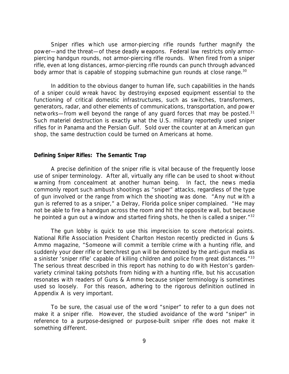Sniper rifles which use armor-piercing rifle rounds further magnify the power—and the threat—of these deadly weapons. Federal law restricts only armorpiercing *handgun* rounds, not armor-piercing *rifle* rounds. When fired from a sniper rifle, even at long distances, armor-piercing rifle rounds can punch through advanced body armor that is capable of stopping submachine gun rounds at close range.<sup>30</sup>

In addition to the obvious danger to human life, such capabilities in the hands of a sniper could wreak havoc by destroying exposed equipment essential to the functioning of critical domestic infrastructures, such as switches, transformers, generators, radar, and other elements of communications, transportation, and power networks—from well beyond the range of any quard forces that may be posted.<sup>31</sup> Such materiel destruction is exactly what the U.S. military reportedly used sniper rifles for in Panama and the Persian Gulf. Sold over the counter at an American gun shop, the same destruction could be turned on Americans at home.

## *Defining Sniper Rifles: The Semantic Trap*

A precise definition of the sniper rifle is vital because of the frequently loose use of sniper terminology. After all, virtually any rifle can be used to shoot without warning from concealment at another human being. In fact, the news media commonly report such ambush shootings as "sniper" attacks, regardless of the type of gun involved or the range from which the shooting was done. "Any nut with a gun is referred to as a sniper," a Delray, Florida police sniper complained. "He may not be able to fire a handgun across the room and hit the opposite wall, but because he pointed a gun out a window and started firing shots, he then is called a sniper."<sup>32</sup>

The gun lobby is quick to use this imprecision to score rhetorical points. National Rifle Association President Charlton Heston recently predicted in *Guns & Ammo* magazine, "Someone will commit a terrible crime with a hunting rifle, and suddenly your deer rifle or benchrest gun will be demonized by the anti-gun media as a sinister 'sniper rifle' capable of killing children and police from great distances."<sup>33</sup> The serious threat described in this report has nothing to do with Heston's gardenvariety criminal taking potshots from hiding with a hunting rifle, but his accusation resonates with readers of *Guns & Ammo* because sniper terminology is sometimes used so loosely. For this reason, adhering to the rigorous definition outlined in Appendix A is very important.

To be sure, the casual use of the word "sniper" to refer to a gun does not make it a sniper rifle. However, the studied avoidance of the word "sniper" in reference to a purpose-designed or purpose-built sniper rifle does not make it something different.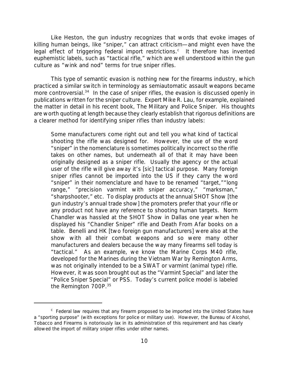Like Heston, the gun industry recognizes that words that evoke images of killing human beings, like "sniper," can attract criticism—and might even have the legal effect of triggering federal import restrictions.<sup>c</sup> It therefore has invented euphemistic labels, such as "tactical rifle," which are well understood within the gun culture as "wink and nod" terms for true sniper rifles.

This type of semantic evasion is nothing new for the firearms industry, which practiced a similar switch in terminology as semiautomatic assault weapons became more controversial.<sup>34</sup> In the case of sniper rifles, the evasion is discussed openly in publications written for the sniper culture. Expert Mike R. Lau, for example, explained the matter in detail in his recent book, *The Military and Police Sniper.* His thoughts are worth quoting at length because they clearly establish that rigorous definitions are a clearer method for identifying sniper rifles than industry labels:

Some manufacturers come right out and tell you what kind of tactical shooting the rifle was designed for. However, the use of the word "sniper" in the nomenclature is sometimes politically incorrect so the rifle takes on other names, but underneath all of that it may have been originally designed as a sniper rifle. Usually the agency or the actual user of the rifle will give away it's [sic] tactical purpose. Many foreign sniper rifles cannot be imported into the US if they carry the word "sniper" in their nomenclature and have to be renamed "target,""long range," "precision varmint with sniper accuracy," "marksman," "sharpshooter," etc. To display products at the annual SHOT Show [the gun industry's annual trade show] the promoters prefer that your rifle or any product not have any reference to shooting human targets. Norm Chandler was hassled at the SHOT Show in Dallas one year when he displayed his "Chandler Sniper" rifle and *Death From Afar* books on a table. Benelli and HK [two foreign gun manufacturers] were also at the show with all their combat weapons and so were many other manufacturers and dealers because the way many firearms sell today is "tactical." As an example, we know the Marine Corps M40 rifle, developed for the Marines during the Vietnam War by Remington Arms, was not originally intended to be a SWAT or varmint (animal type) rifle. However, it was soon brought out as the "Varmint Special" and later the "Police Sniper Special" or PSS. Today's current police model is labeled the Remington 700P.<sup>35</sup>

<sup>&</sup>lt;sup>c</sup> Federal law requires that any firearm proposed to be imported into the United States have a "sporting purpose" (with exceptions for police or military use). However, the Bureau of Alcohol, Tobacco and Firearms is notoriously lax in its administration of this requirement and has clearly allowed the import of military sniper rifles under other names.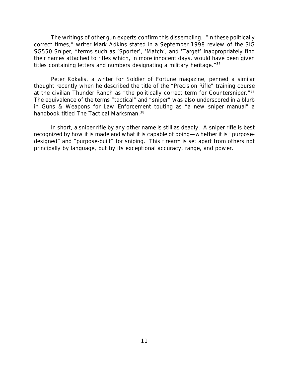The writings of other gun experts confirm this dissembling. "In these politically correct times," writer Mark Adkins stated in a September 1998 review of the SIG SG550 Sniper, "terms such as 'Sporter', 'Match', and 'Target' inappropriately find their names attached to rifles which, in more innocent days, would have been given titles containing letters and numbers designating a military heritage.<sup>"36</sup>

Peter Kokalis, a writer for *Soldier of Fortune* magazine, penned a similar thought recently when he described the title of the "Precision Rifle" training course at the civilian Thunder Ranch as "the politically correct term for *Countersniper*."<sup>37</sup> The equivalence of the terms "tactical" and "sniper" was also underscored in a blurb in *Guns & Weapons for Law Enforcement* touting as "a new sniper manual" a handbook titled *The Tactical Marksman*. 38

In short, a sniper rifle by any other name is still as deadly. A sniper rifle is best recognized by how it is made and what it is capable of doing—whether it is "purposedesigned" and "purpose-built" for sniping. This firearm is set apart from others not principally by language, but by its exceptional accuracy, range, and power.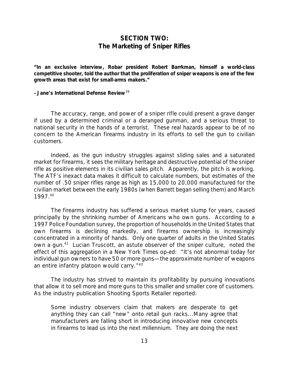## *SECTION TWO: The Marketing of Sniper Rifles*

**"In an exclusive interview, Robar president Robert Barrkman, himself a world-class competitive shooter, told the author that the proliferation of sniper weapons is one of the few growth areas that exist for small-arms makers."**

#### **–Jane's** *International Defense Review*<sup>39</sup>

The accuracy, range, and power of a sniper rifle could present a grave danger if used by a determined criminal or a deranged gunman, and a serious threat to national security in the hands of a terrorist. These real hazards appear to be of no concern to the American firearms industry in its efforts to sell the gun to civilian customers.

Indeed, as the gun industry struggles against sliding sales and a saturated market for firearms, it sees the military heritage and destructive potential of the sniper rifle as positive elements in its civilian sales pitch. Apparently, the pitch is working. The ATF's inexact data makes it difficult to calculate numbers, but estimates of the number of .50 sniper rifles range as high as 15,000 to 20,000 manufactured for the civilian market between the early 1980s (when Barrett began selling them) and March 1997.<sup>40</sup>

The firearms industry has suffered a serious market slump for years, caused principally by the shrinking number of Americans who own guns. According to a 1997 Police Foundation survey, the proportion of households in the United States that own firearms is declining markedly, and firearms ownership is increasingly concentrated in a minority of hands. Only one quarter of adults in the United States own a gun.<sup>41</sup> Lucian Truscott, an astute observer of the sniper culture, noted the effect of this aggregation in a *New York Times* op-ed: "It's not abnormal today for individual gun owners to have 50 or more guns—the approximate number of weapons an entire infantry platoon would carry."<sup>42</sup>

The industry has strived to maintain its profitability by pursuing innovations that allow it to sell more and more guns to this smaller and smaller core of customers. As the industry publication *Shooting Sports Retailer* reported:

Some industry observers claim that makers are desperate to get anything they can call "new" onto retail gun racks...Many agree that manufacturers are falling short in introducing innovative new concepts in firearms to lead us into the next millennium. They are doing the next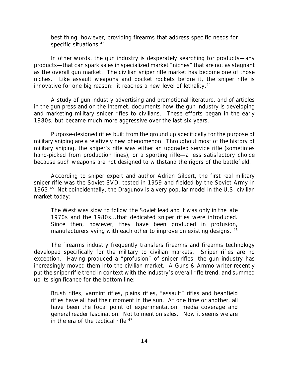best thing, however, providing firearms that address specific needs for specific situations.<sup>43</sup>

In other words, the gun industry is desperately searching for products—any products—that can spark sales in specialized market "niches" that are not as stagnant as the overall gun market. The civilian sniper rifle market has become one of those niches. Like assault weapons and pocket rockets before it, the sniper rifle is innovative for one big reason: it reaches a new level of lethality.<sup>44</sup>

A study of gun industry advertising and promotional literature, and of articles in the gun press and on the Internet, documents how the gun industry is developing and marketing military sniper rifles to civilians. These efforts began in the early 1980s, but became much more aggressive over the last six years.

Purpose-designed rifles built from the ground up specifically for the purpose of military sniping are a relatively new phenomenon. Throughout most of the history of military sniping, the sniper's rifle was either an upgraded service rifle (sometimes hand-picked from production lines), or a sporting rifle—a less satisfactory choice because such weapons are not designed to withstand the rigors of the battlefield.

According to sniper expert and author Adrian Gilbert, the first real military sniper rifle was the Soviet SVD, tested in 1959 and fielded by the Soviet Army in 1963.<sup>45</sup> Not coincidentally, the Dragunov is a very popular model in the U.S. civilian market today:

The West was slow to follow the Soviet lead and it was only in the late 1970s and the 1980s...that dedicated sniper rifles were introduced. Since then, however, they have been produced in profusion, manufacturers vying with each other to improve on existing designs. <sup>46</sup>

The firearms industry frequently transfers firearms and firearms technology developed specifically for the military to civilian markets. Sniper rifles are no exception. Having produced a "profusion" of sniper rifles, the gun industry has increasingly moved them into the civilian market. A *Guns & Ammo* writer recently put the sniper rifle trend in context with the industry's overall rifle trend, and summed up its significance for the bottom line:

Brush rifles, varmint rifles, plains rifles, "assault" rifles and beanfield rifles have all had their moment in the sun. At one time or another, all have been the focal point of experimentation, media coverage and general reader fascination. Not to mention sales. Now it seems we are in the era of the tactical rifle. $47$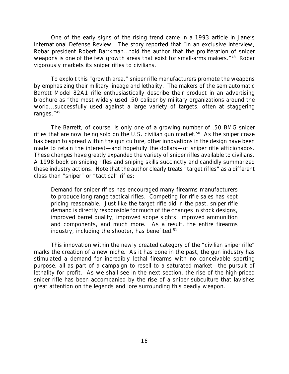One of the early signs of the rising trend came in a 1993 article in Jane's *International Defense Review.* The story reported that "in an exclusive interview, Robar president Robert Barrkman...told the author that the proliferation of sniper weapons is one of the few growth areas that exist for small-arms makers."<sup>48</sup> Robar vigorously markets its sniper rifles to civilians.

To exploit this "growth area," sniper rifle manufacturers promote the weapons by emphasizing their military lineage and lethality. The makers of the semiautomatic Barrett Model 82A1 rifle enthusiastically describe their product in an advertising brochure as "the most widely used .50 caliber by military organizations around the world...successfully used against a large variety of targets, often at staggering ranges."<sup>49</sup>

The Barrett, of course, is only one of a growing number of .50 BMG sniper rifles that are now being sold on the U.S. civilian gun market.<sup>50</sup> As the sniper craze has begun to spread within the gun culture, other innovations in the design have been made to retain the interest—and hopefully the dollars—of sniper rifle afficionados. These changes have greatly expanded the variety of sniper rifles available to civilians. A 1998 book on sniping rifles and sniping skills succinctly and candidly summarized these industry actions. Note that the author clearly treats "target rifles" as a different class than "sniper" or "tactical" rifles:

Demand for sniper rifles has encouraged many firearms manufacturers to produce long range tactical rifles. Competing for rifle sales has kept pricing reasonable. Just like the target rifle did in the past, sniper rifle demand is directly responsible for much of the changes in stock designs, improved barrel quality, improved scope sights, improved ammunition and components, and much more. As a result, the entire firearms industry, including the shooter, has benefited. $51$ 

This innovation *within* the newly created category of the "civilian sniper rifle" marks the creation of a new niche. As it has done in the past, the gun industry has stimulated a demand for incredibly lethal firearms with no conceivable sporting purpose, all as part of a campaign to resell to a saturated market—the pursuit of lethality for profit. As we shall see in the next section, the rise of the high-priced sniper rifle has been accompanied by the rise of a sniper subculture that lavishes great attention on the legends and lore surrounding this deadly weapon.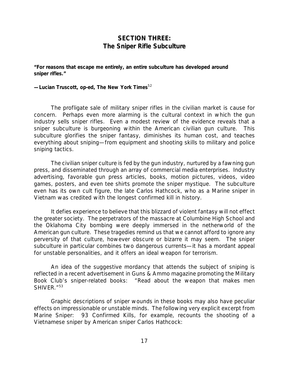## *SECTION THREE: The Sniper Rifle Subculture*

**"For reasons that escape me entirely, an entire subculture has developed around sniper rifles."**

**—Lucian Truscott, op-ed,** *The New York Times*<sup>52</sup>

The profligate sale of military sniper rifles in the civilian market is cause for concern. Perhaps even more alarming is the cultural context in which the gun industry sells sniper rifles. Even a modest review of the evidence reveals that a sniper subculture is burgeoning within the American civilian gun culture. This subculture glorifies the sniper fantasy, diminishes its human cost, and teaches everything about sniping—from equipment and shooting skills to military and police sniping tactics.

The civilian sniper culture is fed by the gun industry, nurtured by a fawning gun press, and disseminated through an array of commercial media enterprises. Industry advertising, favorable gun press articles, books, motion pictures, videos, video games, posters, and even tee shirts promote the sniper mystique. The subculture even has its own cult figure, the late Carlos Hathcock, who as a Marine sniper in Vietnam was credited with the longest confirmed kill in history.

It defies experience to believe that this blizzard of violent fantasy will not effect the greater society. The perpetrators of the massacre at Columbine High School and the Oklahoma City bombing were deeply immersed in the netherworld of the American gun culture. These tragedies remind us that we cannot afford to ignore any perversity of that culture, however obscure or bizarre it may seem. The sniper subculture in particular combines two dangerous currents—it has a mordant appeal for unstable personalities, and it offers an ideal weapon for terrorism.

An idea of the suggestive mordancy that attends the subject of sniping is reflected in a recent advertisement in *Guns & Ammo* magazine promoting the Military Book Club's sniper-related books: "Read about the weapon that makes men *SHIVER*."<sup>53</sup>

Graphic descriptions of sniper wounds in these books may also have peculiar effects on impressionable or unstable minds. The following very explicit excerpt from *Marine Sniper: 93 Confirmed Kills*, for example, recounts the shooting of a Vietnamese sniper by American sniper Carlos Hathcock: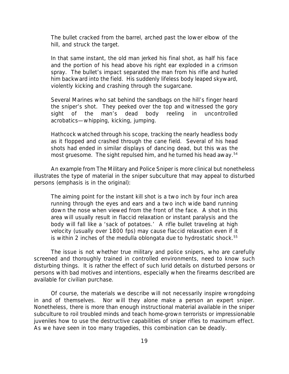The bullet cracked from the barrel, arched past the lower elbow of the hill, and struck the target.

In that same instant, the old man jerked his final shot, as half his face and the portion of his head above his right ear exploded in a crimson spray. The bullet's impact separated the man from his rifle and hurled him backward into the field. His suddenly lifeless body leaped skyward, violently kicking and crashing through the sugarcane.

Several Marines who sat behind the sandbags on the hill's finger heard the sniper's shot. They peeked over the top and witnessed the gory sight of the man's dead body reeling in uncontrolled acrobatics—whipping, kicking, jumping.

Hathcock watched through his scope, tracking the nearly headless body as it flopped and crashed through the cane field. Several of his head shots had ended in similar displays of dancing dead, but this was the most gruesome. The sight repulsed him, and he turned his head away.<sup>54</sup>

An example from *The Military and Police Sniper* is more clinical but nonetheless illustrates the type of material in the sniper subculture that may appeal to disturbed persons (emphasis is in the original):

The aiming point for the *instant kill shot* is a two inch by four inch area running through the eyes and ears and a two inch wide band running down the nose when viewed from the front of the face. A shot in this area will usually result in *flaccid relaxation or instant paralysis* and the body will fall like a 'sack of potatoes.' A rifle bullet traveling at high velocity (usually over 1800 fps) *may* cause flaccid relaxation even if it is within 2 inches of the medulla oblongata due to *hydrostatic shock.*<sup>55</sup>

The issue is not whether true military and police snipers, who are carefully screened and thoroughly trained in controlled environments, need to know such disturbing things. It is rather the effect of such lurid details on disturbed persons or persons with bad motives and intentions, especially when the firearms described are available for civilian purchase.

Of course, the materials we describe will not necessarily inspire wrongdoing in and of themselves. Nor will they alone make a person an expert sniper. Nonetheless, there is more than enough instructional material available in the sniper subculture to roil troubled minds and teach home-grown terrorists or impressionable juveniles how to use the destructive capabilities of sniper rifles to maximum effect. As we have seen in too many tragedies, this combination can be deadly.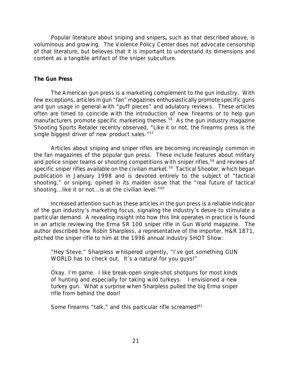Popular literature about sniping and snipers**,** such as that described above, is voluminous and growing. The Violence Policy Center does not advocate censorship of that literature, but believes that it is important to understand its dimensions and content as a tangible artifact of the sniper subculture.

## *The Gun Press*

The American gun press is a marketing complement to the gun industry. With few exceptions, articles in gun "fan" magazines enthusiastically promote specific guns and gun usage in general with "puff pieces" and adulatory reviews. These articles often are timed to coincide with the introduction of new firearms or to help gun manufacturers promote specific marketing themes.<sup>56</sup> As the gun industry magazine *Shooting Sports Retailer* recently observed, "Like it or not, the firearms press is the single biggest driver of new product sales."<sup>57</sup>

Articles about sniping and sniper rifles are becoming increasingly common in the fan magazines of the popular gun press. These include features about military and police sniper teams or shooting competitions with sniper rifles,<sup>58</sup> and reviews of specific sniper rifles available on the civilian market.<sup>59</sup> *Tactical Shooter*, which began publication in January 1998 and is devoted entirely to the subject of "tactical shooting," or sniping, opined in its maiden issue that the "real future of tactical shooting...like it or not...is at the civilian level."<sup>60</sup>

Increased attention such as these articles in the gun press is a reliable indicator of the gun industry's marketing focus, signaling the industry's desire to stimulate a particular demand. A revealing insight into how this link operates in practice is found in an article reviewing the Erma SR 100 sniper rifle in *Gun World* magazine. The author described how Robin Sharpless, a representative of the importer, H&R 1871, pitched the sniper rifle to him at the 1996 annual industry SHOT Show:

"Hey Steve," Sharpless whispered urgently, "I've got something GUN WORLD has to check out. It's a natural for you guys!"

Okay. I'm game. I like break-open single-shot shotguns for most kinds of hunting and especially for taking wild turkeys. I envisioned a new turkey gun. What a surprise when Sharpless pulled the big Erma sniper rifle from behind the door!

Some firearms "talk," and this particular rifle screamed!<sup>61</sup>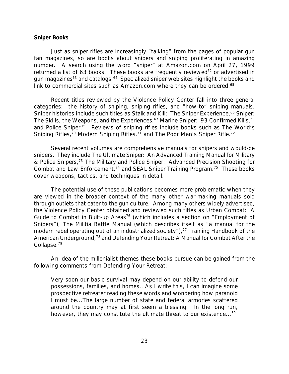#### *Sniper Books*

Just as sniper rifles are increasingly "talking" from the pages of popular gun fan magazines, so are books about snipers and sniping proliferating in amazing number. A search using the word "sniper" at Amazon.com on April 27, 1999 returned a list of 63 books. These books are frequently reviewed<sup>62</sup> or advertised in gun magazines<sup>63</sup> and catalogs.<sup>64</sup> Specialized sniper web sites highlight the books and link to commercial sites such as Amazon.com where they can be ordered.<sup>65</sup>

Recent titles reviewed by the Violence Policy Center fall into three general categories: the history of sniping, sniping rifles, and "how-to" sniping manuals. Sniper histories include such titles as *Stalk and Kill: The Sniper Experience*, <sup>66</sup> *Sniper:* The Skills, the Weapons, and the Experiences,<sup>67</sup> Marine Sniper: 93 Confirmed Kills,<sup>68</sup> and *Police Sniper*. <sup>69</sup> Reviews of sniping rifles include books such as *The World's* Sniping Rifles,<sup>70</sup> Modern Sniping Rifles,<sup>71</sup> and The Poor Man's Sniper Rifle.<sup>72</sup>

Several recent volumes are comprehensive manuals for snipers and would-be snipers. They include *The Ultimate Sniper: An Advanced Training Manual for Military & Police Snipers,*<sup>73</sup> *The Military and Police Sniper: Advanced Precision Shooting for Combat and Law Enforcement*, <sup>74</sup> and *SEAL Sniper Training Program*. <sup>75</sup> These books cover weapons, tactics, and techniques in detail.

The potential use of these publications becomes more problematic when they are viewed in the broader context of the many other war-making manuals sold through outlets that cater to the gun culture. Among many others widely advertised, the Violence Policy Center obtained and reviewed such titles as *Urban Combat: A Guide to Combat in Built-up Areas*<sup>76</sup> (which includes a section on "Employment of Snipers"), *The Militia Battle Manual* (which describes itself as "a manual for the modern rebel operating out of an industrialized society"),<sup>77</sup> Training Handbook of the *American Underground,*<sup>78</sup> and *Defending Your Retreat: A Manual for Combat After the Collapse.<sup>79</sup>*

An idea of the millenialist themes these books pursue can be gained from the following comments from *Defending Your Retreat:*

Very soon our basic survival may depend on our ability to defend our possessions, families, and homes...As I write this, I can imagine some prospective retreater reading these words and wondering how paranoid I must be...The large number of state and federal armories scattered around the country may at first seem a blessing. In the long run, however, they may constitute the ultimate threat to our existence...<sup>80</sup>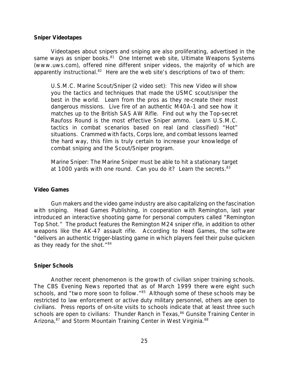#### *Sniper Videotapes*

Videotapes about snipers and sniping are also proliferating, advertised in the same ways as sniper books.<sup>81</sup> One Internet web site, Ultimate Weapons Systems (www.uws.com), offered nine different sniper videos, the majority of which are apparently instructional.<sup>82</sup> Here are the web site's descriptions of two of them:

*U.S.M.C. Marine Scout/Sniper (2 video set)*: This new Video will show you the tactics and techniques that made the USMC scout/sniper the best in the world. Learn from the pros as they re-create their most dangerous missions. Live fire of an authentic M40A-1 and see how it matches up to the British SAS AW Rifle. Find out why the Top-secret Raufoss Round is the most effective Sniper ammo. Learn U.S.M.C. tactics in combat scenarios based on real (and classified) "Hot" situations. Crammed with facts, Corps lore, and combat lessons learned the hard way, this film is truly certain to increase your knowledge of combat sniping and the Scout/Sniper program.

*Marine Sniper*: The Marine Sniper must be able to hit a stationary target at 1000 yards with one round. Can you do it? Learn the secrets.<sup>83</sup>

## *Video Games*

Gun makers and the video game industry are also capitalizing on the fascination with sniping. Head Games Publishing, in cooperation with Remington, last year introduced an interactive shooting game for personal computers called "Remington Top Shot." The product features the Remington M24 sniper rifle, in addition to other weapons like the AK-47 assault rifle. According to Head Games, the software "delivers an authentic trigger-blasting game in which players feel their pulse quicken as they ready for the shot."<sup>84</sup>

#### *Sniper Schools*

Another recent phenomenon is the growth of civilian sniper training schools. The *CBS Evening News* reported that as of March 1999 there were eight such schools, and "two more soon to follow."<sup>85</sup> Although some of these schools may be restricted to law enforcement or active duty military personnel, others are open to civilians. Press reports of on-site visits to schools indicate that at least three such schools are open to civilians: Thunder Ranch in Texas,<sup>86</sup> Gunsite Training Center in Arizona,<sup>87</sup> and Storm Mountain Training Center in West Virginia.<sup>88</sup>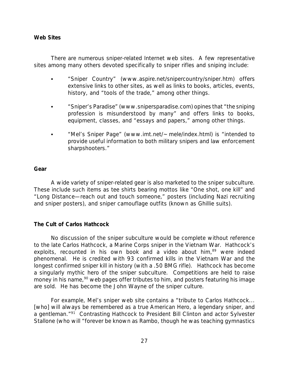## *Web Sites*

There are numerous sniper-related Internet web sites. A few representative sites among many others devoted specifically to sniper rifles and sniping include:

- C "Sniper Country" (www.aspire.net/snipercountry/sniper.htm) offers extensive links to other sites, as well as links to books, articles, events, history, and "tools of the trade," among other things.
- "Sniper's Paradise" (www.snipersparadise.com) opines that "the sniping profession is misunderstood by many" and offers links to books, equipment, classes, and "essays and papers," among other things.
- "Mel's Sniper Page" (www.imt.net/~mele/index.html) is "intended to provide useful information to both military snipers and law enforcement sharpshooters."

## *Gear*

A wide variety of sniper-related gear is also marketed to the sniper subculture. These include such items as tee shirts bearing mottos like "One shot, one kill" and "Long Distance—reach out and touch someone," posters (including Nazi recruiting and sniper posters), and sniper camouflage outfits (known as Ghillie suits).

## *The Cult of Carlos Hathcock*

No discussion of the sniper subculture would be complete without reference to the late Carlos Hathcock, a Marine Corps sniper in the Vietnam War. Hathcock's exploits, recounted in his own book and a video about him,<sup>89</sup> were indeed phenomenal. He is credited with 93 confirmed kills in the Vietnam War and the longest confirmed sniper kill in history (with a .50 BMG rifle). Hathcock has become a singularly mythic hero of the sniper subculture. Competitions are held to raise money in his name,<sup>90</sup> web pages offer tributes to him, and posters featuring his image are sold. He has become the John Wayne of the sniper culture.

For example, Mel's sniper web site contains a "tribute to Carlos Hathcock... [who] will always be remembered as a true American Hero, a legendary sniper, and a gentleman."<sup>91</sup> Contrasting Hathcock to President Bill Clinton and actor Sylvester Stallone (who will "forever be known as Rambo, though he was teaching gymnastics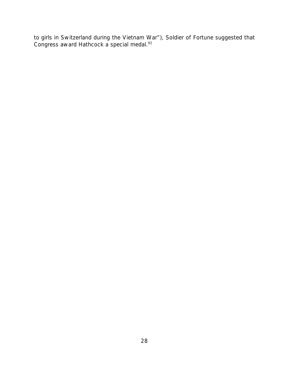to girls in Switzerland during the Vietnam War"), *Soldier of Fortune* suggested that Congress award Hathcock a special medal.<sup>92</sup>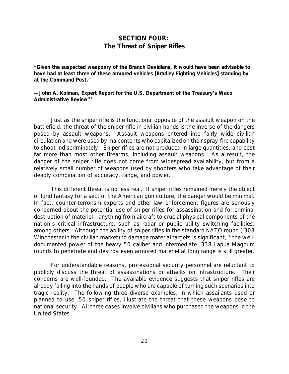## *SECTION FOUR: The Threat of Sniper Rifles*

**"Given the suspected weaponry of the Branch Davidians, it would have been advisable to have had at least three of these armored vehicles [Bradley Fighting Vehicles] standing by at the Command Post."**

## **—John A. Kolman, Expert Report for the U.S. Department of the Treasury's Waco Administrative Review**<sup>93</sup>

Just as the sniper rifle is the functional opposite of the assault weapon on the battlefield, the threat of the sniper rifle in civilian hands is the inverse of the dangers posed by assault weapons. Assault weapons entered into fairly wide civilian circulation and were used by malcontents who capitalized on their spray-fire capability to shoot indiscriminately. Sniper rifles are not produced in large quantities, and cost far more than most other firearms, including assault weapons. As a result, the danger of the sniper rifle does not come from widespread availability, but from a relatively small number of weapons used by shooters who take advantage of their deadly combination of accuracy, range, and power.

This different threat is no less real. If sniper rifles remained merely the object of lurid fantasy for a sect of the American gun culture, the danger would be minimal. In fact, counter-terrorism experts and other law enforcement figures are seriously concerned about the potential use of sniper rifles for assassination and for criminal destruction of materiel—anything from aircraft to crucial physical components of the nation's critical infrastructure, such as radar or public utility switching facilities, among others. Although the ability of sniper rifles in the standard NATO round (.308 Winchester in the civilian market) to damage material targets is significant,  $94$  the welldocumented power of the heavy 50 caliber and intermediate .338 Lapua Magnum rounds to penetrate and destroy even armored materiel at long range is still greater.

For understandable reasons, professional security personnel are reluctant to publicly discuss the threat of assassinations or attacks on infrastructure. Their concerns are well-founded. The available evidence suggests that sniper rifles are already falling into the hands of people who are capable of turning such scenarios into tragic reality. The following three diverse examples, in which assailants used or planned to use .50 sniper rifles, illustrate the threat that these weapons pose to national security. All three cases involve civilians who purchased the weapons in the United States.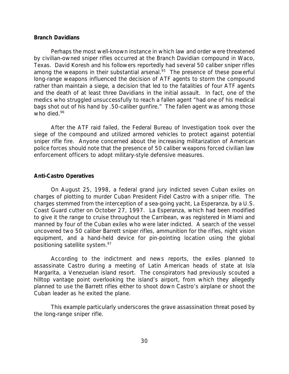#### *Branch Davidians*

Perhaps the most well-known instance in which law and order were threatened by civilian-owned sniper rifles occurred at the Branch Davidian compound in Waco, Texas. David Koresh and his followers reportedly had several 50 caliber sniper rifles among the weapons in their substantial arsenal.<sup>95</sup> The presence of these powerful long-range weapons influenced the decision of ATF agents to storm the compound rather than maintain a siege, a decision that led to the fatalities of four ATF agents and the death of at least three Davidians in the initial assault. In fact, one of the medics who struggled unsuccessfully to reach a fallen agent "had one of his medical bags shot out of his hand by .50-caliber gunfire." The fallen agent was among those who died.<sup>96</sup>

After the ATF raid failed, the Federal Bureau of Investigation took over the siege of the compound and utilized armored vehicles to protect against potential sniper rifle fire. Anyone concerned about the increasing militarization of American police forces should note that the presence of 50 caliber weapons forced civilian law enforcement officers to adopt military-style defensive measures.

#### *Anti-Castro Operatives*

On August 25, 1998, a federal grand jury indicted seven Cuban exiles on charges of plotting to murder Cuban President Fidel Castro with a sniper rifle. The charges stemmed from the interception of a sea-going yacht, *La Esperanza,* by a U.S. Coast Guard cutter on October 27, 1997. *La Esperanza,* which had been modified to give it the range to cruise throughout the Carribean, was registered in Miami and manned by four of the Cuban exiles who were later indicted. A search of the vessel uncovered two 50 caliber Barrett sniper rifles, ammunition for the rifles, night vision equipment, and a hand-held device for pin-pointing location using the global positioning satellite system.<sup>97</sup>

According to the indictment and news reports, the exiles planned to assassinate Castro during a meeting of Latin American heads of state at Isla Margarita, a Venezuelan island resort. The conspirators had previously scouted a hilltop vantage point overlooking the island's airport, from which they allegedly planned to use the Barrett rifles either to shoot down Castro's airplane or shoot the Cuban leader as he exited the plane.

This example particularly underscores the grave assassination threat posed by the long-range sniper rifle.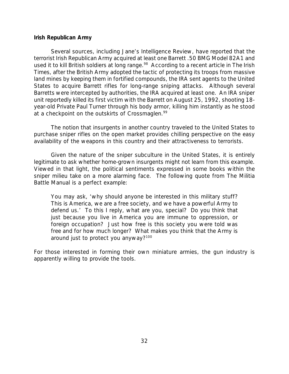## *Irish Republican Army*

Several sources, including Jane's *Intelligence Review*, have reported that the terrorist Irish Republican Army acquired at least one Barrett .50 BMG Model 82A1 and used it to kill British soldiers at long range.<sup>98</sup> According to a recent article in *The Irish Times*, after the British Army adopted the tactic of protecting its troops from massive land mines by keeping them in fortified compounds, the IRA sent agents to the United States to acquire Barrett rifles for long-range sniping attacks. Although several Barretts were intercepted by authorities, the IRA acquired at least one. An IRA sniper unit reportedly killed its first victim with the Barrett on August 25, 1992, shooting 18 year-old Private Paul Turner through his body armor, killing him instantly as he stood at a checkpoint on the outskirts of Crossmaglen.<sup>99</sup>

The notion that insurgents in another country traveled to the United States to purchase sniper rifles on the open market provides chilling perspective on the easy availability of the weapons in this country and their attractiveness to terrorists.

Given the nature of the sniper subculture in the United States, it is entirely legitimate to ask whether home-grown insurgents might not learn from this example. Viewed in that light, the political sentiments expressed in some books within the sniper milieu take on a more alarming face. The following quote from *The Militia Battle Manual* is a perfect example:

You may ask, 'why should anyone be interested in this military stuff? This is America, we are a free society, and we have a powerful Army to defend us.' To this I reply, what are you, special? Do you think that just because you live in America you are immune to oppression, or foreign occupation? Just how free is this society you were told was free and for how much longer? What makes you think that the Army is around just to protect you anyway?<sup>100</sup>

For those interested in forming their own miniature armies, the gun industry is apparently willing to provide the tools.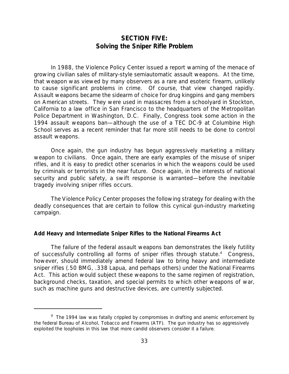## *SECTION FIVE: Solving the Sniper Rifle Problem*

In 1988, the Violence Policy Center issued a report warning of the menace of growing civilian sales of military-style semiautomatic assault weapons. At the time, that weapon was viewed by many observers as a rare and esoteric firearm, unlikely to cause significant problems in crime. Of course, that view changed rapidly. Assault weapons became the sidearm of choice for drug kingpins and gang members on American streets. They were used in massacres from a schoolyard in Stockton, California to a law office in San Francisco to the headquarters of the Metropolitan Police Department in Washington, D.C. Finally, Congress took some action in the 1994 assault weapons ban—although the use of a TEC DC-9 at Columbine High School serves as a recent reminder that far more still needs to be done to control assault weapons.

Once again, the gun industry has begun aggressively marketing a military weapon to civilians. Once again, there are early examples of the misuse of sniper rifles, and it is easy to predict other scenarios in which the weapons could be used by criminals or terrorists in the near future. Once again, in the interests of national security and public safety, a swift response is warranted—before the inevitable tragedy involving sniper rifles occurs.

The Violence Policy Center proposes the following strategy for dealing with the deadly consequences that are certain to follow this cynical gun-industry marketing campaign.

## *Add Heavy and Intermediate Sniper Rifles to the National Firearms Act*

The failure of the federal assault weapons ban demonstrates the likely futility of successfully controlling all forms of sniper rifles through statute.<sup>d</sup> Congress, however, should immediately amend federal law to bring heavy and intermediate sniper rifles (.50 BMG, .338 Lapua, and perhaps others) under the National Firearms Act. This action would subject these weapons to the same regimen of registration, background checks, taxation, and special permits to which other weapons of war, such as machine guns and destructive devices, are currently subjected.

<sup>&</sup>lt;sup>d</sup> The 1994 law was fatally crippled by compromises in drafting and anemic enforcement by the federal Bureau of Alcohol, Tobacco and Firearms (ATF). The gun industry has so aggressively exploited the loopholes in this law that more candid observers consider it a failure.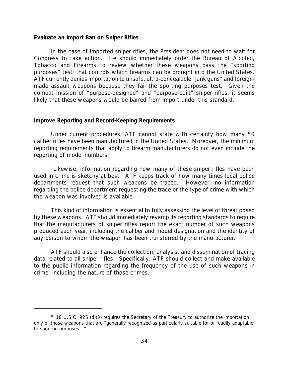#### *Evaluate an Import Ban on Sniper Rifles*

In the case of imported sniper rifles, the President does not need to wait for Congress to take action. He should immediately order the Bureau of Alcohol, Tobacco and Firearms to review whether these weapons pass the "sporting purposes" test<sup>e</sup> that controls which firearms can be brought into the United States. ATF currently denies importation to unsafe, ultra-concealable "junk guns" and foreignmade assault weapons because they fail the sporting purposes test. Given the combat mission of "purpose-designed" and "purpose-built" sniper rifles, it seems likely that these weapons would be barred from import under this standard.

#### *Improve Reporting and Record-Keeping Requirements*

Under current procedures, ATF cannot state with certainty how many 50 caliber rifles have been manufactured in the United States. Moreover, the minimum reporting requirements that apply to firearm manufacturers do not even include the reporting of model numbers.

 Likewise, information regarding how many of these sniper rifles have been used in crime is sketchy at best. ATF keeps track of how many times local police departments request that such weapons be traced. However, no information regarding the police department requesting the trace or the type of crime with which the weapon was involved is available.

This kind of information is essential to fully assessing the level of threat posed by these weapons. ATF should immediately revamp its reporting standards to require that the manufacturers of sniper rifles report the exact number of such weapons produced each year, including the caliber and model designation and the identity of any person to whom the weapon has been transferred by the manufacturer.

ATF should also enhance the collection, analysis, and dissemination of tracing data related to all sniper rifles. Specifically, ATF should collect and make available to the public information regarding the frequency of the use of such weapons in crime, including the nature of those crimes.

<sup>&</sup>lt;sup>e</sup> 18 U.S.C. 925 (d)(3) requires the Secretary of the Treasury to authorize the importation only of those weapons that are "generally recognized as particularly suitable for or readily adaptable to sporting purposes..."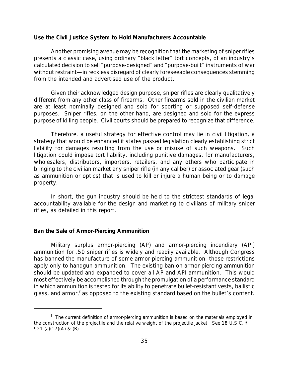#### *Use the Civil Justice System to Hold Manufacturers Accountable*

Another promising avenue may be recognition that the marketing of sniper rifles presents a classic case, using ordinary "black letter" tort concepts, of an industry's calculated decision to sell "purpose-designed" and "purpose-built" instruments of war without restraint—in reckless disregard of clearly foreseeable consequences stemming from the intended and advertised use of the product.

Given their acknowledged design purpose, sniper rifles are clearly *qualitatively* different from any other class of firearms. Other firearms sold in the civilian market are at least nominally designed and sold for sporting or supposed self-defense purposes. Sniper rifles, on the other hand, are designed and sold for the express purpose of killing people. Civil courts should be prepared to recognize that difference.

Therefore, a useful strategy for effective control may lie in civil litigation, a strategy that would be enhanced if states passed legislation clearly establishing strict liability for damages resulting from the use or misuse of such weapons. Such litigation could impose tort liability, including punitive damages, for manufacturers, wholesalers, distributors, importers, retailers, and any others who participate in bringing to the civilian market any sniper rifle (in any caliber) or associated gear (such as ammunition or optics) that is used to kill or injure a human being or to damage property.

In short, the gun industry should be held to the strictest standards of legal accountability available for the design and marketing to civilians of military sniper rifles, as detailed in this report.

## *Ban the Sale of Armor-Piercing Ammunition*

Military surplus armor-piercing (AP) and armor-piercing incendiary (API) ammunition for .50 sniper rifles is widely and readily available. Although Congress has banned the manufacture of some armor-piercing ammunition, those restrictions apply only to handgun ammunition. The existing ban on armor-piercing ammunition should be updated and expanded to cover all AP and API ammunition. This would most effectively be accomplished through the promulgation of a performance standard in which ammunition is tested for its ability to *penetrate* bullet-resistant vests, ballistic glass, and armor,<sup>f</sup> as opposed to the existing standard based on the bullet's *content*.

<sup>&</sup>lt;sup>f</sup> The current definition of armor-piercing ammunition is based on the materials employed in the construction of the projectile and the relative weight of the projectile jacket. See 18 U.S.C. § 921 (a)(17)(A) & (B).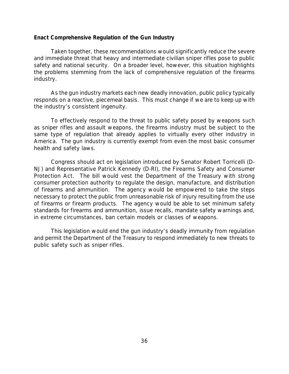## *Enact Comprehensive Regulation of the Gun Industry*

Taken together, these recommendations would significantly reduce the severe and immediate threat that heavy and intermediate civilian sniper rifles pose to public safety and national security. On a broader level, however, this situation highlights the problems stemming from the lack of comprehensive regulation of the firearms industry.

As the gun industry markets each new deadly innovation, public policy typically responds on a reactive, piecemeal basis. This must change if we are to keep up with the industry's consistent ingenuity.

To effectively respond to the threat to public safety posed by weapons such as sniper rifles and assault weapons, the firearms industry must be subject to the same type of regulation that already applies to virtually every other industry in America. The gun industry is currently exempt from even the most basic consumer health and safety laws.

Congress should act on legislation introduced by Senator Robert Torricelli (D-NJ) and Representative Patrick Kennedy (D-RI), the Firearms Safety and Consumer Protection Act. The bill would vest the Department of the Treasury with strong consumer protection authority to regulate the design, manufacture, and distribution of firearms and ammunition. The agency would be empowered to take the steps necessary to protect the public from *unreasonable* risk of injury resulting from the use of firearms or firearm products. The agency would be able to set minimum safety standards for firearms and ammunition, issue recalls, mandate safety warnings and, in extreme circumstances, ban certain models or classes of weapons.

This legislation would end the gun industry's deadly immunity from regulation and permit the Department of the Treasury to respond immediately to new threats to public safety such as sniper rifles.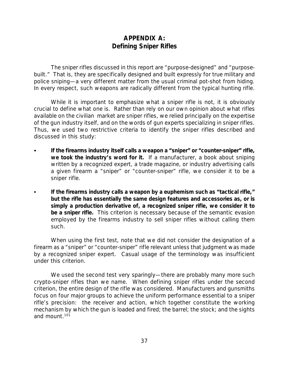## *APPENDIX A: Defining Sniper Rifles*

The sniper rifles discussed in this report are "purpose-designed" and "purposebuilt." That is, they are specifically designed and built expressly for true military and police sniping—a very different matter from the usual criminal pot-shot from hiding. In every respect, such weapons are radically different from the typical hunting rifle.

While it is important to emphasize what a sniper rifle is *not*, it is obviously crucial to define what one is. Rather than rely on our own opinion about what rifles available on the civilian market are sniper rifles, we relied principally on the expertise of the gun industry itself, and on the words of gun experts specializing in sniper rifles. Thus, we used two restrictive criteria to identify the sniper rifles described and discussed in this study:

- If the firearms industry itself calls a weapon a "sniper" or "counter-sniper" rifle, *we took the industry's word for it.* If a manufacturer, a book about sniping written by a recognized expert, a trade magazine, or industry advertising calls a given firearm a "sniper" or "counter-sniper" rifle, we consider it to be a sniper rifle.
- If the firearms industry calls a weapon by a euphemism such as "tactical rifle," *but the rifle has essentially the same design features and accessories as, or is simply a production derivative of, a recognized sniper rifle, we consider it to be a sniper rifle.* This criterion is necessary because of the semantic evasion employed by the firearms industry to sell sniper rifles without calling them such.

When using the first test, note that we did not consider the designation of a firearm as a "sniper" or "counter-sniper" rifle relevant unless that judgment was made by a recognized sniper expert. Casual usage of the terminology was insufficient under this criterion.

We used the second test very sparingly—there are probably many more such crypto-sniper rifles than we name. When defining sniper rifles under the second criterion, the entire design of the rifle was considered. Manufacturers and gunsmiths focus on four major groups to achieve the uniform performance essential to a sniper rifle's precision: the receiver and action, which together constitute the working mechanism by which the gun is loaded and fired; the barrel; the stock; and the sights and mount.101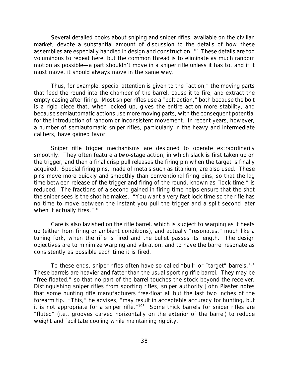Several detailed books about sniping and sniper rifles, available on the civilian market, devote a substantial amount of discussion to the details of how these assemblies are especially handled in design and construction.<sup>102</sup> These details are too voluminous to repeat here, but the common thread is to eliminate as much random motion as possible—a part shouldn't move in a sniper rifle unless it has to, and if it must move, it should always move in the same way.

Thus, for example, special attention is given to the "action," the moving parts that feed the round into the chamber of the barrel, cause it to fire, and extract the empty casing after firing. Most sniper rifles use a "bolt action," both because the bolt is a rigid piece that, when locked up, gives the entire action more stability, and because semiautomatic actions use more moving parts, with the consequent potential for the introduction of random or inconsistent movement. In recent years, however, a number of semiautomatic sniper rifles, particularly in the heavy and intermediate calibers, have gained favor.

Sniper rifle trigger mechanisms are designed to operate extraordinarily smoothly. They often feature a two-stage action, in which slack is first taken up on the trigger, and then a final crisp pull releases the firing pin when the target is finally acquired. Special firing pins, made of metals such as titanium, are also used. These pins move more quickly and smoothly than conventional firing pins, so that the lag time between release of the trigger and firing of the round, known as "lock time," is reduced. The fractions of a second gained in firing time helps ensure that the shot the sniper sees is the shot he makes. "You want a very fast lock time so the rifle has no time to move between the instant you pull the trigger and a split second later when it actually fires."<sup>103</sup>

Care is also lavished on the rifle barrel, which is subject to warping as it heats up (either from firing or ambient conditions), and actually "resonates," much like a tuning fork, when the rifle is fired and the bullet passes its length. The design objectives are to minimize warping and vibration, and to have the barrel resonate as consistently as possible each time it is fired.

To these ends, sniper rifles often have so-called "bull" or "target" barrels.<sup>104</sup> These barrels are heavier and fatter than the usual sporting rifle barrel. They may be "free-floated," so that no part of the barrel touches the stock beyond the receiver. Distinguishing sniper rifles from sporting rifles, sniper authority John Plaster notes that some hunting rifle manufacturers free-float all but the last two inches of the forearm tip. "This," he advises, "may result in acceptable accuracy for hunting, but it is not appropriate for a sniper rifle."<sup>105</sup> Some thick barrels for sniper rifles are "fluted" (i.e., grooves carved horizontally on the exterior of the barrel) to reduce weight and facilitate cooling while maintaining rigidity.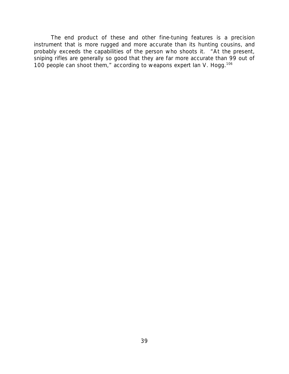The end product of these and other fine-tuning features is a precision instrument that is more rugged and more accurate than its hunting cousins, and probably exceeds the capabilities of the person who shoots it. "At the present, sniping rifles are generally so good that they are far more accurate than 99 out of 100 people can shoot them," according to weapons expert Ian V. Hogg.<sup>106</sup>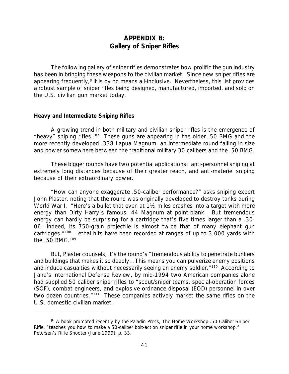## *APPENDIX B: Gallery of Sniper Rifles*

The following gallery of sniper rifles demonstrates how prolific the gun industry has been in bringing these weapons to the civilian market. Since new sniper rifles are appearing frequently,<sup>g</sup> it is by no means all-inclusive. Nevertheless, this list provides a robust sample of sniper rifles being designed, manufactured, imported, and sold on the U.S. civilian gun market today.

## *Heavy and Intermediate Sniping Rifles*

A growing trend in both military and civilian sniper rifles is the emergence of "heavy" sniping rifles.<sup>107</sup> These guns are appearing in the older .50 BMG and the more recently developed .338 Lapua Magnum, an intermediate round falling in size and power somewhere between the traditional military 30 calibers and the .50 BMG.

These bigger rounds have two potential applications: anti-personnel sniping at extremely long distances because of their greater reach, and anti-materiel sniping because of their extraordinary power.

"How can anyone exaggerate .50-caliber performance?" asks sniping expert John Plaster, noting that the round was originally developed to destroy tanks during World War I. "Here's a bullet that even at 1<sup>1</sup>/<sub>2</sub> miles crashes into a target with more energy than Dirty Harry's famous .44 Magnum at point-blank. But tremendous energy can hardly be surprising for a cartridge that's five times larger than a .30- 06—indeed, its 750-grain projectile is almost twice that of many elephant gun cartridges."<sup>108</sup> Lethal hits have been recorded at ranges of up to 3,000 yards with the .50 BMG.<sup>109</sup>

But, Plaster counsels, it's the round's "tremendous ability to penetrate bunkers and buildings that makes it so deadly...This means you can pulverize enemy positions and induce casualties without necessarily seeing an enemy soldier.<sup>"110</sup> According to Jane's *International Defense Review,* by mid-1994 two American companies alone had supplied 50 caliber sniper rifles to "scout/sniper teams, special-operation forces (SOF), combat engineers, and explosive ordnance disposal (EOD) personnel in over two dozen countries."<sup>111</sup> These companies actively market the same rifles on the U.S. domestic civilian market.

g A book promoted recently by the Paladin Press, *The Home Workshop .50-Caliber Sniper Rifle*, "teaches you how to make a 50-caliber bolt-action sniper rifle in your home workshop." *Petersen's Rifle Shooter* (June 1999), p. 33.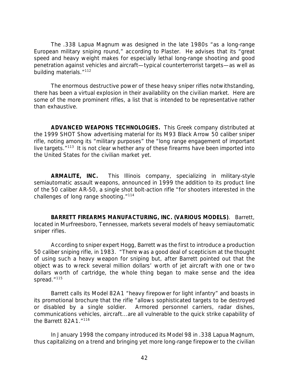The .338 Lapua Magnum was designed in the late 1980s "as a long-range European military sniping round," according to Plaster. He advises that its "great speed and heavy weight makes for especially lethal long-range shooting and good penetration against vehicles and aircraft—typical counterterrorist targets—as well as building materials."<sup>112</sup>

The enormous destructive power of these heavy sniper rifles notwithstanding, there has been a virtual explosion in their availability on the civilian market. Here are some of the more prominent rifles, a list that is intended to be representative rather than exhaustive.

*ADVANCED WEAPONS TECHNOLOGIES.* This Greek company distributed at the 1999 SHOT Show advertising material for its M93 Black Arrow 50 caliber sniper rifle, noting among its "military purposes" the "long range engagement of important live targets."<sup>113</sup> It is not clear whether any of these firearms have been imported into the United States for the civilian market yet.

*ARMALITE, INC.* This Illinois company, specializing in military-style semiautomatic assault weapons, announced in 1999 the addition to its product line of the 50 caliber AR-50, a single shot bolt-action rifle "for shooters interested in the challenges of long range shooting."<sup>114</sup>

*BARRETT FIREARMS MANUFACTURING, INC. (VARIOUS MODELS)*. Barrett, located in Murfreesboro, Tennessee, markets several models of heavy semiautomatic sniper rifles.

According to sniper expert Hogg, Barrett was the first to introduce a production 50 caliber sniping rifle, in 1983. "There was a good deal of scepticism at the thought of using such a heavy weapon for sniping but, after Barrett pointed out that the object was to wreck several million dollars' worth of jet aircraft with one or two dollars worth of cartridge, the whole thing began to make sense and the idea spread."<sup>115</sup>

Barrett calls its Model 82A1 "heavy firepower for light infantry" and boasts in its promotional brochure that the rifle "allows sophisticated targets to be destroyed or disabled by a single soldier. Armored personnel carriers, radar dishes, communications vehicles, aircraft...are all vulnerable to the quick strike capability of the Barrett 82A1."<sup>116</sup>

In January 1998 the company introduced its Model 98 in .338 Lapua Magnum, thus capitalizing on a trend and bringing yet more long-range firepower to the civilian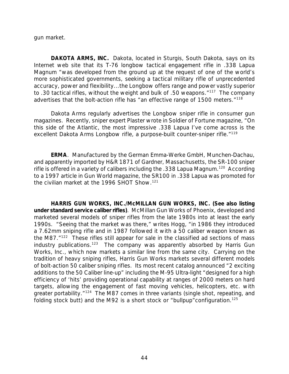gun market.

*DAKOTA ARMS, INC.* Dakota, located in Sturgis, South Dakota, says on its Internet web site that its T-76 longbow tactical engagement rifle in .338 Lapua Magnum "was developed from the ground up at the request of one of the world's more sophisticated governments, seeking a tactical military rifle of unprecedented accuracy, power and flexibility...the Longbow offers range and power vastly superior to .30 tactical rifles, without the weight and bulk of .50 weapons."<sup>117</sup> The company advertises that the bolt-action rifle has "an effective range of 1500 meters."<sup>118</sup>

Dakota Arms regularly advertises the Longbow sniper rifle in consumer gun magazines. Recently, sniper expert Plaster wrote in *Soldier of Fortune* magazine, "On this side of the Atlantic, the most impressive .338 Lapua I've come across is the excellent Dakota Arms Longbow rifle, a purpose-built counter-sniper rifle."<sup>119</sup>

*ERMA*. Manufactured by the German Emma-Werke GmbH, Munchen-Dachau, and apparently imported by H&R 1871 of Gardner, Massachusetts, the SR-100 sniper rifle is offered in a variety of calibers including the .338 Lapua Magnum.<sup>120</sup> According to a 1997 article in *Gun World* magazine, the SR100 in .338 Lapua was promoted for the civilian market at the 1996 SHOT Show.<sup>121</sup>

*HARRIS GUN WORKS, INC./McMILLAN GUN WORKS, INC. (See also listing under standard service caliber rifles)*. McMillan Gun Works of Phoenix, developed and marketed several models of sniper rifles from the late 1980s into at least the early 1990s. "Seeing that the market was there," writes Hogg, "in 1986 they introduced a 7.62mm sniping rifle and in 1987 followed it with a 50 caliber weapon known as the M87."<sup>122</sup> These rifles still appear for sale in the classified ad sections of mass industry publications.<sup>123</sup> The company was apparently absorbed by Harris Gun Works, Inc., which now markets a similar line from the same city. Carrying on the tradition of heavy sniping rifles, Harris Gun Works markets several different models of bolt-action 50 caliber sniping rifles. Its most recent catalog announced "2 exciting additions to the 50 Caliber line-up" including the M-95 Ultra-light "designed for a high efficiency of 'hits' providing operational capability at ranges of 2000 meters on hard targets, allowing the engagement of fast moving vehicles, helicopters, etc. with greater portability."<sup>124</sup> The M87 comes in three variants (single shot, repeating, and folding stock butt) and the M92 is a short stock or "bullpup" configuration.<sup>125</sup>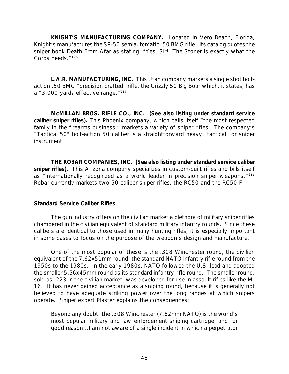*KNIGHT'S MANUFACTURING COMPANY.* Located in Vero Beach, Florida, Knight's manufactures the SR-50 semiautomatic .50 BMG rifle. Its catalog quotes the sniper book *Death From Afar* as stating, "Yes, Sir! The Stoner is exactly what the Corps needs."<sup>126</sup>

*L.A.R. MANUFACTURING, INC.* This Utah company markets a single shot boltaction .50 BMG "precision crafted" rifle, the Grizzly 50 Big Boar which, it states, has a "3,000 yards effective range."<sup>127</sup>

*McMILLAN BROS. RIFLE CO., INC. (See also listing under standard service caliber sniper rifles).* This Phoenix company, which calls itself "the most respected family in the firearms business," markets a variety of sniper rifles. The company's "Tactical 50" bolt-action 50 caliber is a straightforward heavy "tactical" or sniper instrument.

*THE ROBAR COMPANIES, INC. (See also listing under standard service caliber sniper rifles).* This Arizona company specializes in custom-built rifles and bills itself as "internationally recognized as a world leader in precision sniper weapons."<sup>128</sup> Robar currently markets two 50 caliber sniper rifles, the RC50 and the RC50-F.

## *Standard Service Caliber Rifles*

The gun industry offers on the civilian market a plethora of military sniper rifles chambered in the civilian equivalent of standard military infantry rounds. Since these calibers are identical to those used in many hunting rifles, it is especially important in some cases to focus on the purpose of the weapon's design and manufacture.

One of the most popular of these is the .308 Winchester round, the civilian equivalent of the 7.62x51mm round, the standard NATO infantry rifle round from the 1950s to the 1980s. In the early 1980s, NATO followed the U.S. lead and adopted the smaller 5.56x45mm round as its standard infantry rifle round. The smaller round, sold as .223 in the civilian market, was developed for use in assault rifles like the M-16. It has never gained acceptance as a sniping round, because it is generally not believed to have adequate striking power over the long ranges at which snipers operate. Sniper expert Plaster explains the consequences:

Beyond any doubt, the .308 Winchester (7.62mm NATO) is the world's most popular military and law enforcement sniping cartridge, and for good reason...I am not aware of a single incident in which a perpetrator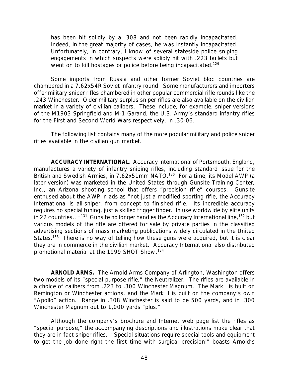has been hit solidly by a .308 and not been rapidly incapacitated. Indeed, in the great majority of cases, he was instantly incapacitated. Unfortunately, in contrary, I know of several stateside police sniping engagements in which suspects were solidly hit with .223 bullets but went on to kill hostages or police before being incapacitated.<sup>129</sup>

Some imports from Russia and other former Soviet bloc countries are chambered in a 7.62x54R Soviet infantry round. Some manufacturers and importers offer military sniper rifles chambered in other popular commercial rifle rounds like the .243 Winchester. Older military surplus sniper rifles are also available on the civilian market in a variety of civilian calibers. These include, for example, sniper versions of the M1903 Springfield and M-1 Garand, the U.S. Army's standard infantry rifles for the First and Second World Wars respectively, in .30-06.

The following list contains many of the more popular military and police sniper rifles available in the civilian gun market.

*ACCURACY INTERNATIONAL.* Accuracy International of Portsmouth, England, manufactures a variety of infantry sniping rifles, including standard issue for the British and Swedish Armies, in 7.62x51mm NATO.<sup>130</sup> For a time, its Model AWP (a later version) was marketed in the United States through Gunsite Training Center, Inc., an Arizona shooting school that offers "precision rifle" courses. Gunsite enthused about the AWP in ads as "not just a modified sporting rifle, the Accuracy International is all-sniper, from concept to finished rifle. Its incredible accuracy requires no special tuning, just a skilled trigger finger. In use worldwide by elite units in 22 countries..."<sup>131</sup> Gunsite no longer handles the Accuracy International line,<sup>132</sup> but various models of the rifle are offered for sale by private parties in the classified advertising sections of mass marketing publications widely circulated in the United States.<sup>133</sup> There is no way of telling how these guns were acquired, but it is clear they are in commerce in the civilian market. Accuracy International also distributed promotional material at the 1999 SHOT Show.<sup>134</sup>

*ARNOLD ARMS.* The Arnold Arms Company of Arlington, Washington offers two models of its "special purpose rifle," the Neutralizer. The rifles are available in a choice of calibers from .223 to .300 Winchester Magnum. The Mark I is built on Remington or Winchester actions, and the Mark II is built on the company's own "Apollo" action. Range in .308 Winchester is said to be 500 yards, and in .300 Winchester Magnum out to 1,000 yards "plus."

Although the company's brochure and Internet web page list the rifles as "special purpose," the accompanying descriptions and illustrations make clear that they are in fact sniper rifles. "Special situations require special tools and equipment to get the job done right the first time with surgical precision!" boasts Arnold's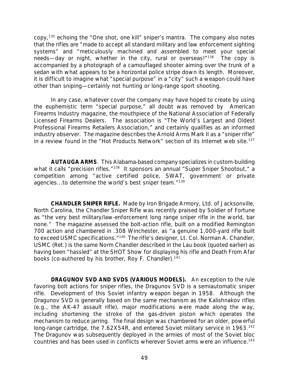copy,<sup>135</sup> echoing the "One shot, one kill" sniper's mantra. The company also notes that the rifles are "made to accept all standard military and law enforcement sighting systems" and "meticulously machined and assembled to meet your special needs—day or night, whether in the city, rural or overseas!"<sup>136</sup> The copy is accompanied by a photograph of a camouflaged shooter aiming over the trunk of a sedan with what appears to be a horizontal police stripe down its length. Moreover, it is difficult to imagine what "special purpose" in a "city" such a weapon could have other than sniping—certainly not hunting or long-range sport shooting.

In any case, whatever cover the company may have hoped to create by using the euphemistic term "special purpose," all doubt was removed by *American Firearms Industry* magazine, the mouthpiece of the National Association of Federally Licensed Firearms Dealers. The association is "The World's Largest and Oldest Professional Firearms Retailers Association," and certainly qualifies as an informed industry observer. The magazine describes the Arnold Arms Mark II as a "sniper rifle" in a review found in the "Hot Products Network" section of its Internet web site.<sup>137</sup>

*AUTAUGA ARMS*. This Alabama-based company specializes in custom-building what it calls "precision rifles."<sup>138</sup> It sponsors an annual "Super Sniper Shootout," a competition among "active certified police, SWAT, government or private agencies...to determine the world's best sniper team."<sup>139</sup>

*CHANDLER SNIPER RIFLE.* Made by Iron Brigade Armory, Ltd. of Jacksonville, North Carolina, the Chandler Sniper Rifle was recently praised by *Soldier of Fortune* as "the very best military/law-enforcement long range sniper rifle in the world, bar none." The magazine assessed the bolt-action rifle, built on a modified Remington 700 action and chambered in .308 Winchester, as "a genuine 1,000-yard rifle built to exceed USMC specifications."<sup>140</sup> The rifle's designer, Lt. Col. Norman A. Chandler, USMC (Ret.) is the same Norm Chandler described in the Lau book (quoted earlier) as having been "hassled" at the SHOT Show for displaying his rifle and *Death From Afar* books (co-authored by his brother, Roy F. Chandler).<sup>141</sup>

*DRAGUNOV SVD AND SVDS (VARIOUS MODELS).* An exception to the rule favoring bolt actions for sniper rifles, the Dragunov SVD is a semiautomatic sniper rifle. Development of this Soviet infantry weapon began in 1958. Although the Dragunov SVD is generally based on the same mechanism as the Kalishnakov rifles (e.g., the AK-47 assault rifle), major modifications were made along the way, including shortening the stroke of the gas-driven piston which operates the mechanism to reduce jarring. The final design was chambered for an older, powerful long-range cartridge, the 7.62X54R, and entered Soviet military service in 1963.<sup>142</sup> The Dragunov was subsequently deployed in the armies of most of the Soviet bloc countries and has been used in conflicts wherever Soviet arms were an influence.<sup>143</sup>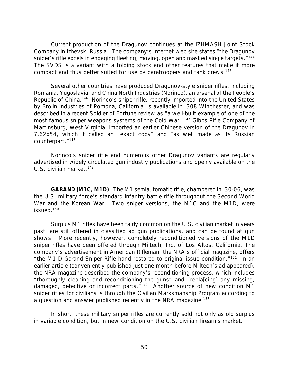Current production of the Dragunov continues at the IZHMASH Joint Stock Company in Izhevsk, Russia. The company's Internet web site states "the Dragunov sniper's rifle excels in engaging fleeting, moving, open and masked single targets."<sup>144</sup> The SVDS is a variant with a folding stock and other features that make it more compact and thus better suited for use by paratroopers and tank crews.<sup>145</sup>

Several other countries have produced Dragunov-style sniper rifles, including Romania, Yugoslavia, and China North Industries (Norinco), an arsenal of the People's Republic of China.<sup>146</sup> Norinco's sniper rifle, recently imported into the United States by Brolin Industries of Pomona, California, is available in .308 Winchester, and was described in a recent *Soldier of Fortune* review as "a well-built example of one of the most famous sniper weapons systems of the Cold War."<sup>147</sup> Gibbs Rifle Company of Martinsburg, West Virginia, imported an earlier Chinese version of the Dragunov in 7.62x54, which it called an "exact copy" and "as well made as its Russian counterpart."<sup>148</sup>

Norinco's sniper rifle and numerous other Dragunov variants are regularly advertised in widely circulated gun industry publications and openly available on the U.S. civilian market.<sup>149</sup>

*GARAND (M1C, M1D)*. The M1 semiautomatic rifle, chambered in .30-06, was the U.S. military force's standard infantry battle rifle throughout the Second World War and the Korean War. Two sniper versions, the M1C and the M1D, were issued.<sup>150</sup>

Surplus M1 rifles have been fairly common on the U.S. civilian market in years past, are still offered in classified ad gun publications, and can be found at gun shows. More recently, however, completely reconditioned versions of the M1D sniper rifles have been offered through Miltech, Inc. of Los Altos, California. The company's advertisement in *American Rifleman*, the NRA's official magazine, offers "the M1-D Garand Sniper Rifle hand restored to original issue condition."<sup>151</sup> In an earlier article (conveniently published just one month before Miltech's ad appeared), the NRA magazine described the company's reconditioning process, which includes "thoroughly cleaning and reconditioning the guns" and "repla[cing] any missing, damaged, defective or incorrect parts."<sup>152</sup> Another source of new condition M1 sniper rifles for civilians is through the Civilian Marksmanship Program according to a question and answer published recently in the NRA magazine.<sup>153</sup>

In short, these military sniper rifles are currently sold not only as old surplus in variable condition, but in new condition on the U.S. civilian firearms market.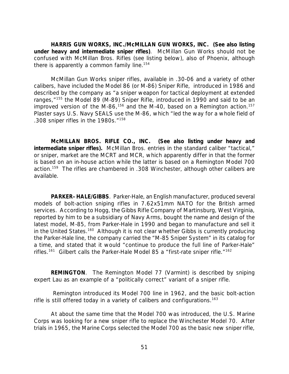*HARRIS GUN WORKS, INC./McMILLAN GUN WORKS, INC. (See also listing under heavy and intermediate sniper rifles)*. McMillan Gun Works should not be confused with McMillan Bros. Rifles (see listing below), also of Phoenix, although there is apparently a common family line.<sup>154</sup>

McMillan Gun Works sniper rifles, available in .30-06 and a variety of other calibers, have included the Model 86 (or M-86) Sniper Rifle, introduced in 1986 and described by the company as "a sniper weapon for tactical deployment at extended ranges,"<sup>155</sup> the Model 89 (M-89) Sniper Rifle, introduced in 1990 and said to be an improved version of the M-86,<sup>156</sup> and the M-40, based on a Remington action.<sup>157</sup> Plaster says U.S. Navy SEALS use the M-86, which "led the way for a whole field of .308 sniper rifles in the 1980s."<sup>158</sup>

*McMILLAN BROS. RIFLE CO., INC. (See also listing under heavy and intermediate sniper rifles).* McMillan Bros. entries in the standard caliber "tactical," or sniper, market are the MCRT and MCR, which apparently differ in that the former is based on an in-house action while the latter is based on a Remington Model 700 action.<sup>159</sup> The rifles are chambered in .308 Winchester, although other calibers are available.

*PARKER–HALE/GIBBS*. Parker-Hale, an English manufacturer, produced several models of bolt-action sniping rifles in 7.62x51mm NATO for the British armed services. According to Hogg, the Gibbs Rifle Company of Martinsburg, West Virginia, reported by him to be a subsidiary of Navy Arms, bought the name and design of the latest model, M-85, from Parker-Hale in 1990 and began to manufacture and sell it in the United States.<sup>160</sup> Although it is not clear whether Gibbs is currently producing the Parker-Hale line, the company carried the "M-85 Sniper System" in its catalog for a time, and stated that it would "continue to produce the full line of Parker-Hale" rifles.<sup>161</sup> Gilbert calls the Parker-Hale Model 85 a "first-rate sniper rifle."<sup>162</sup>

*REMINGTON*. The Remington Model 77 (Varmint) is described by sniping expert Lau as an example of a "politically correct" variant of a sniper rifle.

 Remington introduced its Model 700 line in 1962, and the basic bolt-action rifle is still offered today in a variety of calibers and configurations.<sup>163</sup>

At about the same time that the Model 700 was introduced, the U.S. Marine Corps was looking for a new sniper rifle to replace the Winchester Model 70. After trials in 1965, the Marine Corps selected the Model 700 as the basic new sniper rifle,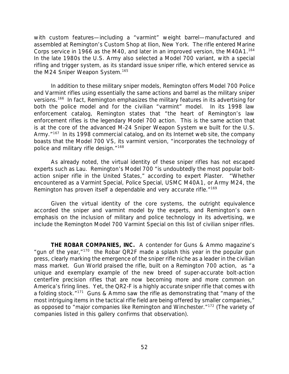with custom features—including a "varmint" weight barrel—manufactured and assembled at Remington's Custom Shop at Ilion, New York. The rifle entered Marine Corps service in 1966 as the M40, and later in an improved version, the M40A1.<sup>164</sup> In the late 1980s the U.S. Army also selected a Model 700 variant, with a special rifling and trigger system, as its standard issue sniper rifle, which entered service as the M24 Sniper Weapon System.<sup>165</sup>

In addition to these military sniper models, Remington offers Model 700 Police and Varmint rifles using essentially the same actions and barrel as the military sniper versions.<sup>166</sup> In fact, Remington emphasizes the military features in its advertising for both the police model *and for the civilian "varmint" model.* In its 1998 law enforcement catalog, Remington states that "the heart of Remington's law enforcement rifles is the legendary Model 700 action. This is the same action that is at the core of the advanced M-24 Sniper Weapon System we built for the U.S. Army.<sup>"167</sup> In its 1998 commercial catalog, and on its Internet web site, the company boasts that the Model 700 VS, its varmint version, "incorporates the technology of police and military rifle design."<sup>168</sup>

As already noted, the virtual identity of these sniper rifles has not escaped experts such as Lau. Remington's Model 700 "is undoubtedly the most popular boltaction sniper rifle in the United States," according to expert Plaster. "Whether encountered as a Varmint Special, Police Special, USMC M40A1, or Army M24, the Remington has proven itself a dependable and very accurate rifle.<sup>"169</sup>

Given the virtual identity of the core systems, the outright equivalence accorded the sniper and varmint model by the experts, and Remington's own emphasis on the inclusion of military and police technology in its advertising, we include the Remington Model 700 Varmint Special on this list of civilian sniper rifles.

*THE ROBAR COMPANIES, INC.* A contender for *Guns & Ammo* magazine's "gun of the year," $170$  the Robar QR2F made a splash this year in the popular gun press, clearly marking the emergence of the sniper rifle niche as a leader in the civilian mass market. *Gun World* praised the rifle, built on a Remington 700 action, as "a unique and exemplary example of the new breed of super-accurate bolt-action centerfire precision rifles that are now becoming more and more common on America's firing lines. Yet, the QR2-F is a highly accurate sniper rifle that comes with a folding stock."<sup>171</sup> *Guns & Ammo* saw the rifle as demonstrating that "many of the most intriguing items in the tactical rifle field are being offered by smaller companies," as opposed to "major companies like Remington and Winchester."<sup>172</sup> (The variety of companies listed in this gallery confirms that observation).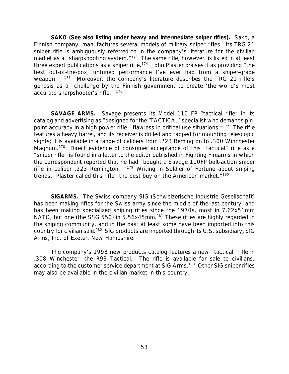*SAKO (See also listing under heavy and intermediate sniper rifles).* Sako, a Finnish company, manufactures several models of military sniper rifles. Its TRG 21 sniper rifle is ambiguously referred to in the company's literature for the civilian market as a "sharpshooting system."<sup>173</sup> The same rifle, however, is listed in at least three expert publications as a sniper rifle.<sup>174</sup> John Plaster praises it as providing "the best out-of-the-box, untuned performance I've ever had from a sniper-grade weapon..."<sup>175</sup> Moreover, the company's literature describes the TRG 21 rifle's genesis as a "challenge by the Finnish government to create 'the world's most accurate sharpshooter's rifle.'"<sup>176</sup>

**SAVAGE ARMS.** Savage presents its Model 110 FP "tactical rifle" in its catalog and advertising as "designed for the 'TACTICAL' specialist who demands pinpoint accuracy in a high power rifle...flawless in critical use situations."<sup>177</sup> The rifle features a heavy barrel, and its receiver is drilled and tapped for mounting telescopic sights; it is available in a range of calibers from .223 Remington to .300 Winchester Magnum.<sup>178</sup> Direct evidence of consumer acceptance of this "tactical" rifle as a "sniper rifle" is found in a letter to the editor published in *Fighting Firearms* in which the correspondent reported that he had "bought a Savage 110FP bolt-action sniper rifle in caliber .223 Remington..."<sup>179</sup> Writing in *Soldier of Fortune* about sniping trends, Plaster called this rifle "the best buy on the American market."<sup>180</sup>

*SIGARMS.* The Swiss company SIG (Schweizerische Industrie Gesellschaft) has been making rifles for the Swiss army since the middle of the last century, and has been making specialized sniping rifles since the 1970s, most in 7.62x51mm NATO, but one (the SSG 550) in 5.56x45mm.<sup>181</sup> These rifles are highly regarded in the sniping community, and in the past at least some have been imported into this country for civilian sale.<sup>182</sup> SIG products are imported through its U.S. subsidiary*,* SIG Arms, Inc. of Exeter, New Hampshire.

The company's 1998 new products catalog features a new "tactical" rifle in .308 Winchester, the R93 Tactical. The rifle is available for sale to civilians, according to the customer service department at SIG Arms.<sup>183</sup> Other SIG sniper rifles may also be available in the civilian market in this country.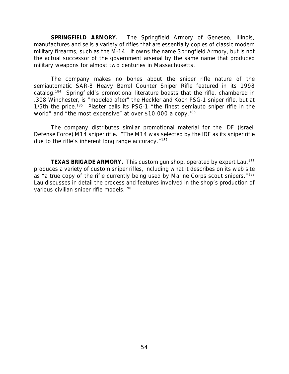*SPRINGFIELD ARMORY.* The Springfield Armory of Geneseo, Illinois, manufactures and sells a variety of rifles that are essentially copies of classic modern military firearms, such as the M-14. It owns the name Springfield Armory, but is not the actual successor of the government arsenal by the same name that produced military weapons for almost two centuries in Massachusetts.

The company makes no bones about the sniper rifle nature of the semiautomatic SAR-8 Heavy Barrel Counter Sniper Rifle featured in its 1998 catalog.<sup>184</sup> Springfield's promotional literature boasts that the rifle, chambered in .308 Winchester, is "modeled after" the Heckler and Koch PSG-1 sniper rifle, but at  $1/5$ th the price.<sup>185</sup> Plaster calls its PSG-1 "the finest semiauto sniper rifle in the world" and "the most expensive" at over \$10,000 a copy.<sup>186</sup>

The company distributes similar promotional material for the IDF (Israeli Defense Force) M14 sniper rifle. "The M14 was selected by the IDF as its sniper rifle due to the rifle's inherent long range accuracy."<sup>187</sup>

**TEXAS BRIGADE ARMORY.** This custom gun shop, operated by expert Lau,<sup>188</sup> produces a variety of custom sniper rifles, including what it describes on its web site as "a true copy of the rifle currently being used by Marine Corps scout snipers."<sup>189</sup> Lau discusses in detail the process and features involved in the shop's production of various civilian sniper rifle models.<sup>190</sup>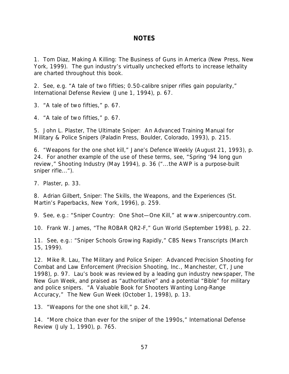## *NOTES*

1. Tom Diaz, *Making A Killing: The Business of Guns in America* (New Press, New York, 1999). The gun industry's virtually unchecked efforts to increase lethality are charted throughout this book.

2. See, e.g. "A tale of two fifties; 0.50-calibre sniper rifles gain popularity," *International Defense Review* (June 1, 1994), p. 67.

3. "A tale of two fifties," p. 67.

4. "A tale of two fifties," p. 67.

5. John L. Plaster, *The Ultimate Sniper: An Advanced Training Manual for Military & Police Snipers* (Paladin Press, Boulder, Colorado, 1993), p. 215.

6. *"*Weapons for the one shot kill," *Jane's Defence Weekly* (August 21, 1993), p. 24. For another example of the use of these terms, see, "Spring '94 long gun review," *Shooting Industry* (May 1994), p. 36 ("...the AWP is a purpose-built sniper rifle...").

7. Plaster, p. 33.

8. Adrian Gilbert, *Sniper: The Skills, the Weapons, and the Experiences* (St. Martin's Paperbacks, New York, 1996), p. 259.

9. See, e.g.: "Sniper Country: One Shot—One Kill," at www.snipercountry.com.

10. Frank W. James, "The ROBAR QR2-F," *Gun World* (September 1998), p. 22.

11. See, e.g.: "Sniper Schools Growing Rapidly," CBS News Transcripts (March 15, 1999).

12. Mike R. Lau, *The Military and Police Sniper: Advanced Precision Shooting for Combat and Law Enforcement* (Precision Shooting, Inc., Manchester, CT, June 1998), p. 97. Lau's book was reviewed by a leading gun industry newspaper, *The New Gun Week*, and praised as "authoritative" and a potential "Bible" for military and police snipers. "A Valuable Book for Shooters Wanting Long-Range Accuracy," *The New Gun Week* (October 1, 1998), p. 13.

13. "Weapons for the one shot kill," p. 24.

14. "More choice than ever for the sniper of the 1990s," *International Defense Review* (July 1, 1990), p. 765.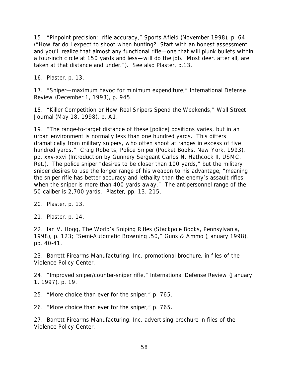15. "Pinpoint precision: rifle accuracy," *Sports Afield* (November 1998), p. 64. ("How far do I expect to shoot when hunting? Start with an honest assessment and you'll realize that almost any functional rifle—one that will plunk bullets within a four-inch circle at 150 yards and less—will do the job. Most deer, after all, are taken at that distance and under."). See also Plaster, p.13.

16. Plaster, p. 13.

17. "Sniper—maximum havoc for minimum expenditure," *International Defense Review* (December 1, 1993), p. 945.

18. "Killer Competition or How Real Snipers Spend the Weekends," *Wall Street Journal* (May 18, 1998), p. A1.

19. "The range-to-target distance of these [police] positions varies, but in an urban environment is normally less than one hundred yards. This differs dramatically from military snipers, who often shoot at ranges in excess of five hundred yards." Craig Roberts, *Police Sniper* (Pocket Books, New York, 1993), pp. xxv-xxvi (Introduction by Gunnery Sergeant Carlos N. Hathcock II, USMC, Ret.). The police sniper "desires to be closer than 100 yards," but the military sniper desires to use the longer range of his weapon to his advantage, "meaning the sniper rifle has better accuracy and lethality than the enemy's assault rifles when the sniper is more than 400 yards away." The antipersonnel range of the 50 caliber is 2,700 yards. Plaster, pp. 13, 215.

20. Plaster, p. 13.

21. Plaster, p. 14.

22. Ian V. Hogg, *The World's Sniping Rifles* (Stackpole Books, Pennsylvania, 1998), p. 123; "Semi-Automatic Browning .50," *Guns & Ammo* (January 1998), pp. 40-41.

23. Barrett Firearms Manufacturing, Inc. promotional brochure, in files of the Violence Policy Center.

24. "Improved sniper/counter-sniper rifle," *International Defense Review* (January 1, 1997), p. 19.

25. "More choice than ever for the sniper," p. 765.

26. "More choice than ever for the sniper," p. 765.

27. Barrett Firearms Manufacturing, Inc. advertising brochure in files of the Violence Policy Center.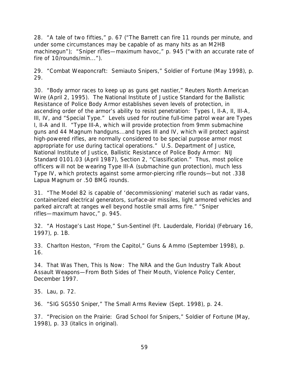28. "A tale of two fifties," p. 67 ("The Barrett can fire 11 rounds per minute, and under some circumstances may be capable of as many hits as an M2HB machinegun"); "Sniper rifles—maximum havoc," p. 945 ("with an accurate rate of fire of 10/rounds/min...").

29. "Combat Weaponcraft: Semiauto Snipers," *Soldier of Fortune* (May 1998), p. 29.

30. "Body armor races to keep up as guns get nastier," *Reuters North American Wire* (April 2, 1995). The National Institute of Justice Standard for the Ballistic Resistance of Police Body Armor establishes seven levels of protection, in ascending order of the armor's ability to resist penetration: Types I, II-A, II, III-A, III, IV, and "Special Type." Levels used for routine full-time patrol wear are Types I, II-A and II. "Type III-A, which will provide protection from 9mm submachine guns and 44 Magnum handguns...and types III and IV, which will protect against high-powered rifles, are normally considered to be special purpose armor most appropriate for use during tactical operations." U.S. Department of Justice, National Institute of Justice, *Ballistic Resistance of Police Body Armor: NIJ Standard 0101.03* (April 1987), Section 2, "Classification." Thus, most police officers will not be wearing Type III-A (submachine gun protection), much less Type IV, which protects against some armor-piercing rifle rounds—but not .338 Lapua Magnum or .50 BMG rounds.

31. "The Model 82 is capable of 'decommissioning' materiel such as radar vans, containerized electrical generators, surface-air missiles, light armored vehicles and parked aircraft at ranges well beyond hostile small arms fire." "Sniper rifles—maximum havoc," p. 945.

32. "A Hostage's Last Hope," *Sun-Sentinel* (Ft. Lauderdale, Florida) (February 16, 1997), p. 1B.

33. Charlton Heston, "From the Capitol," *Guns & Ammo* (September 1998), p. 16.

34. *That Was Then, This Is Now: The NRA and the Gun Industry Talk About Assault Weapons—From Both Sides of Their Mouth*, Violence Policy Center, December 1997.

35. Lau, p. 72.

36. "SIG SG550 Sniper," *The Small Arms Review* (Sept. 1998), p. 24.

37. "Precision on the Prairie: Grad School for Snipers," *Soldier of Fortune* (May, 1998), p. 33 (italics in original).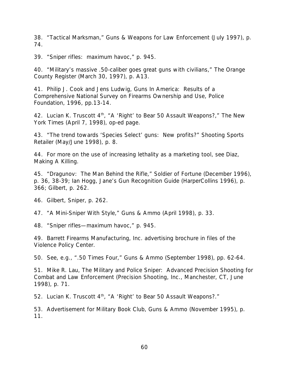38. "Tactical Marksman," *Guns & Weapons for Law Enforcement* (July 1997), p. 74.

39. "Sniper rifles: maximum havoc," p. 945.

40. "Military's massive .50-caliber goes great guns with civilians," *The Orange County Register* (March 30, 1997), p. A13.

41. Philip J. Cook and Jens Ludwig, *Guns In America: Results of a Comprehensive National Survey on Firearms Ownership and Use*, Police Foundation, 1996, pp.13-14.

42. Lucian K. Truscott 4th, "A 'Right' to Bear 50 Assault Weapons?," *The New York Times* (April 7, 1998), op-ed page.

43. "The trend towards 'Species Select' guns: New profits?" *Shooting Sports Retailer* (May/June 1998), p. 8.

44. For more on the use of increasing lethality as a marketing tool, see Diaz, *Making A Killing*.

45. "Dragunov: The Man Behind the Rifle," *Soldier of Fortune* (December 1996), p. 36, 38-39; Ian Hogg, *Jane's Gun Recognition Guide* (HarperCollins 1996), p. 366; Gilbert, p. 262.

46. Gilbert, *Sniper*, p. 262.

47. "A Mini-Sniper With Style," *Guns & Ammo* (April 1998), p. 33.

48. "Sniper rifles—maximum havoc," p. 945.

49. Barrett Firearms Manufacturing, Inc. advertising brochure in files of the Violence Policy Center.

50. See, e.g., ".50 Times Four," *Guns & Ammo* (September 1998), pp. 62-64.

51. Mike R. Lau, *The Military and Police Sniper: Advanced Precision Shooting for Combat and Law Enforcement* (Precision Shooting, Inc., Manchester, CT, June 1998), p. 71.

52. Lucian K. Truscott 4<sup>th</sup>, "A 'Right' to Bear 50 Assault Weapons?."

53. Advertisement for Military Book Club, *Guns & Ammo* (November 1995), p. 11.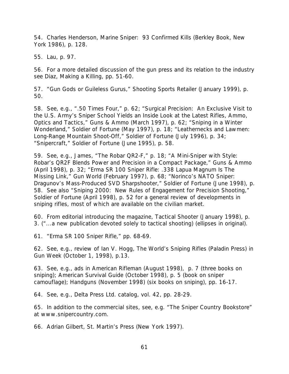54. Charles Henderson, *Marine Sniper: 93 Confirmed Kills* (Berkley Book, New York 1986), p. 128.

55. Lau, p. 97.

56. For a more detailed discussion of the gun press and its relation to the industry see Diaz, *Making a Killing,* pp. 51-60.

57. "Gun Gods or Guileless Gurus," *Shooting Sports Retailer* (January 1999), p. 50.

58. See, e.g., ".50 Times Four," p. 62; "Surgical Precision: An Exclusive Visit to the U.S. Army's Sniper School Yields an Inside Look at the Latest Rifles, Ammo, Optics and Tactics," *Guns & Ammo* (March 1997), p. 62; "Sniping in a Winter Wonderland," *Soldier of Fortune* (May 1997), p. 18; "Leathernecks and Lawmen: Long-Range Mountain Shoot-Off," *Soldier of Fortune* (July 1996), p. 34; "Snipercraft," *Soldier of Fortune* (June 1995), p. 58.

59. See, e.g., James, "The Robar QR2-F," p. 18; "A Mini-Sniper with Style: Robar's QR2F Blends Power and Precision in a Compact Package," *Guns & Ammo* (April 1998), p. 32; "Erma SR 100 Sniper Rifle: .338 Lapua Magnum Is The Missing Link," *Gun World* (February 1997), p. 68; "Norinco's NATO Sniper: Dragunov's Mass-Produced SVD Sharpshooter," *Soldier of Fortune* (June 1998), p. 58. See also "Sniping 2000: New Rules of Engagement for Precision Shooting," *Soldier of Fortune* (April 1998), p. 52 for a general review of developments in sniping rifles, most of which are available on the civilian market.

60. From editorial introducing the magazine, *Tactical Shooter* (January 1998), p. 3. ("...a new publication devoted solely to tactical shooting) (ellipses in original).

61. "Erma SR 100 Sniper Rifle," pp. 68-69.

62. See, e.g., review of Ian V. Hogg, *The World's Sniping Rifles* (Paladin Press) in *Gun Week* (October 1, 1998), p.13.

63. See, e.g., ads in *American Rifleman* (August 1998), p. 7 (three books on sniping); *American Survival Guide* (October 1998), p. 5 (book on sniper camouflage); *Handguns* (November 1998) (six books on sniping), pp. 16-17.

64. See, e.g., Delta Press Ltd. catalog, vol. 42, pp. 28-29.

65. In addition to the commercial sites, see, e.g. "The Sniper Country Bookstore" at www.snipercountry.com.

66. Adrian Gilbert, St. Martin's Press (New York 1997).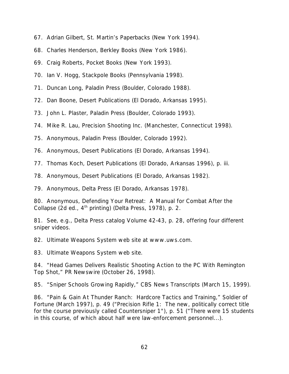- 67. Adrian Gilbert, St. Martin's Paperbacks (New York 1994).
- 68. Charles Henderson, Berkley Books (New York 1986).
- 69. Craig Roberts, Pocket Books (New York 1993).
- 70. Ian V. Hogg, Stackpole Books (Pennsylvania 1998).
- 71. Duncan Long, Paladin Press (Boulder, Colorado 1988).
- 72. Dan Boone, Desert Publications (El Dorado, Arkansas 1995).
- 73. John L. Plaster, Paladin Press (Boulder, Colorado 1993).
- 74. Mike R. Lau, Precision Shooting Inc. (Manchester, Connecticut 1998).
- 75. Anonymous, Paladin Press (Boulder, Colorado 1992).
- 76. Anonymous, Desert Publications (El Dorado, Arkansas 1994).
- 77. Thomas Koch, Desert Publications (El Dorado, Arkansas 1996), p. iii.
- 78. Anonymous, Desert Publications (El Dorado, Arkansas 1982).
- 79. Anonymous, Delta Press (El Dorado, Arkansas 1978).

80. Anonymous, *Defending Your Retreat: A Manual for Combat After the Collapse* (2d ed., 4<sup>th</sup> printing) (Delta Press, 1978), p. 2.

81. See, e.g., Delta Press catalog Volume 42-43, p. 28, offering four different sniper videos.

82. Ultimate Weapons System web site at www.uws.com.

83. Ultimate Weapons System web site.

84. "Head Games Delivers Realistic Shooting Action to the PC With Remington Top Shot," *PR Newswire* (October 26, 1998).

85. "Sniper Schools Growing Rapidly," CBS News Transcripts (March 15, 1999).

86. "Pain & Gain At Thunder Ranch: Hardcore Tactics and Training," *Soldier of Fortune* (March 1997), p. 49 ("Precision Rifle 1: The new, politically correct title for the course previously called Countersniper 1"), p. 51 ("There were 15 students in this course, of which about half were law-enforcement personnel...).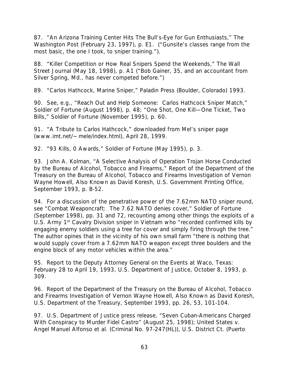87. "An Arizona Training Center Hits The Bull's-Eye for Gun Enthusiasts," *The Washington Post* (February 23, 1997), p. E1. ("Gunsite's classes range from the most basic, the one I took, to sniper training.").

88. "Killer Competition or How Real Snipers Spend the Weekends," *The Wall Street Journal* (May 18, 1998), p. A1 ("Bob Gainer, 35, and an accountant from Silver Spring, Md., has never competed before.")

89. "Carlos Hathcock, Marine Sniper," Paladin Press (Boulder, Colorado) 1993.

90. See, e.g., "Reach Out and Help Someone: Carlos Hathcock Sniper Match," *Soldier of Fortune* (August 1998), p. 48; "One Shot, One Kill—One Ticket, Two Bills," *Soldier of Fortune* (November 1995), p. 60.

91. "A Tribute to Carlos Hathcock," downloaded from Mel's sniper page (www.imt.net/~mele/index.html), April 28, 1999.

92. "93 Kills, 0 Awards," *Soldier of Fortune* (May 1995), p. 3.

93. John A. Kolman, "A Selective Analysis of Operation Trojan Horse Conducted by the Bureau of Alcohol, Tobacco and Firearms," *Report of the Department of the Treasury on the Bureau of Alcohol, Tobacco and Firearms Investigation of Vernon Wayne Howell, Also Known as David Koresh,* U.S. Government Printing Office, September 1993, p. B-52.

94. For a discussion of the penetrative power of the 7.62mm NATO sniper round, see "Combat Weaponcraft: The 7.62 NATO denies cover," *Soldier of Fortune* (September 1998), pp. 31 and 72, recounting among other things the exploits of a U.S. Army 1<sup>st</sup> Cavalry Division sniper in Vietnam who "recorded confirmed kills by engaging enemy soldiers using a tree for cover and simply firing through the tree." The author opines that in the vicinity of his own small farm "there is nothing that would supply cover from a 7.62mm NATO weapon except three boulders and the engine block of any motor vehicles within the area."

95. *Report to the Deputy Attorney General on the Events at Waco, Texas: February 28 to April 19, 1993*, U.S. Department of Justice, October 8, 1993, p. 309.

96. *Report of the Department of the Treasury on the Bureau of Alcohol, Tobacco and Firearms Investigation of Vernon Wayne Howell, Also Known as David Koresh*, U.S. Department of the Treasury, September 1993, pp. 26, 53, 101-104.

97. U.S. Department of Justice press release, "Seven Cuban-Americans Charged With Conspiracy to Murder Fidel Castro" (August 25, 1998); *United States v. Angel Manuel Alfonso et al.* (Criminal No. 97-247(HL)), U.S. District Ct. (Puerto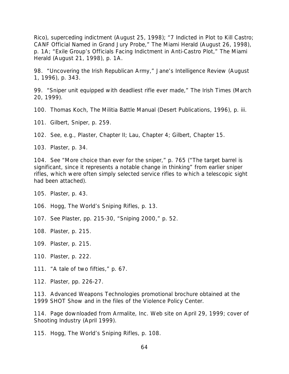Rico), superceding indictment (August 25, 1998); "7 Indicted in Plot to Kill Castro; CANF Official Named in Grand Jury Probe," *The Miami Herald* (August 26, 1998), p. 1A; "Exile Group's Officials Facing Indictment in Anti-Castro Plot," *The Miami Herald* (August 21, 1998), p. 1A.

98. "Uncovering the Irish Republican Army," *Jane's Intelligence Review* (August 1, 1996), p. 343.

99. "Sniper unit equipped with deadliest rifle ever made," *The Irish Times* (March 20, 1999).

100. Thomas Koch, *The Militia Battle Manual* (Desert Publications, 1996), p. iii.

101. Gilbert, *Sniper*, p. 259.

102. See, e.g., Plaster, Chapter II; Lau, Chapter 4; Gilbert, Chapter 15.

103. Plaster, p. 34.

104. See "More choice than ever for the sniper," p. 765 ("The target barrel is significant, since it represents a notable change in thinking" from earlier sniper rifles, which were often simply selected service rifles to which a telescopic sight had been attached).

105. Plaster, p. 43.

106. Hogg, *The World's Sniping Rifles*, p. 13.

107. See Plaster, pp. 215-30, "Sniping 2000," p. 52.

108. Plaster, p. 215.

109. Plaster, p. 215.

110. Plaster, p. 222.

111. "A tale of two fifties," p. 67.

112. Plaster, pp. 226-27.

113. Advanced Weapons Technologies promotional brochure obtained at the 1999 SHOT Show and in the files of the Violence Policy Center.

114. Page downloaded from Armalite, Inc. Web site on April 29, 1999; cover of *Shooting Industry* (April 1999).

115. Hogg, *The World's Sniping Rifles*, p. 108.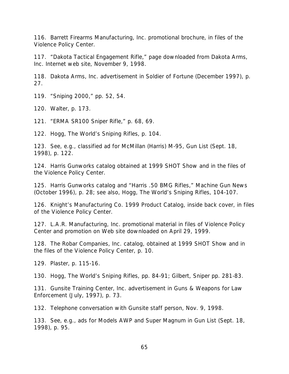116. Barrett Firearms Manufacturing, Inc. promotional brochure, in files of the Violence Policy Center.

117. "Dakota Tactical Engagement Rifle," page downloaded from Dakota Arms, Inc. Internet web site, November 9, 1998.

118. Dakota Arms, Inc. advertisement in *Soldier of Fortune* (December 1997), p. 27.

119. "Sniping 2000," pp. 52, 54.

120. Walter, p. 173.

121. "ERMA SR100 Sniper Rifle," p. 68, 69.

122. Hogg, *The World's Sniping Rifles*, p. 104.

123. See, e.g., classified ad for McMillan (Harris) M-95, *Gun List* (Sept. 18, 1998), p. 122.

124. Harris Gunworks catalog obtained at 1999 SHOT Show and in the files of the Violence Policy Center.

125. Harris Gunworks catalog and "Harris .50 BMG Rifles," *Machine Gun News* (October 1996), p. 28; see also, Hogg, *The World's Sniping Rifles*, 104-107.

126. Knight's Manufacturing Co. 1999 Product Catalog, inside back cover, in files of the Violence Policy Center.

127. L.A.R. Manufacturing, Inc. promotional material in files of Violence Policy Center and promotion on Web site downloaded on April 29, 1999.

128. The Robar Companies, Inc. catalog, obtained at 1999 SHOT Show and in the files of the Violence Policy Center, p. 10.

129. Plaster, p. 115-16.

130. Hogg, *The World's Sniping Rifles*, pp. 84-91; Gilbert, *Sniper* pp. 281-83.

131. Gunsite Training Center, Inc. advertisement in *Guns & Weapons for Law Enforcement* (July, 1997), p. 73.

132. Telephone conversation with Gunsite staff person, Nov. 9, 1998.

133. See, e.g., ads for Models AWP and Super Magnum in *Gun List* (Sept. 18, 1998), p. 95.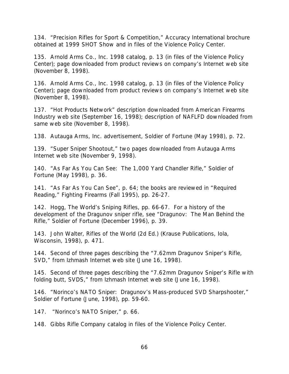134. "Precision Rifles for Sport & Competition," Accuracy International brochure obtained at 1999 SHOT Show and in files of the Violence Policy Center.

135. Arnold Arms Co., Inc. 1998 catalog, p. 13 (in files of the Violence Policy Center); page downloaded from product reviews on company's Internet web site (November 8, 1998).

136. Arnold Arms Co., Inc. 1998 catalog, p. 13 (in files of the Violence Policy Center); page downloaded from product reviews on company's Internet web site (November 8, 1998).

137. "Hot Products Network" description downloaded from *American Firearms Industry* web site (September 16, 1998); description of NAFLFD downloaded from same web site (November 8, 1998).

138. Autauga Arms, Inc. advertisement, *Soldier of Fortune* (May 1998), p. 72.

139. "Super Sniper Shootout," two pages downloaded from Autauga Arms Internet web site (November 9, 1998).

140. "As Far As You Can See: The 1,000 Yard Chandler Rifle," *Soldier of Fortune* (May 1998), p. 36.

141. "As Far As You Can See", p. 64; the books are reviewed in "Required Reading," *Fighting Firearms* (Fall 1995), pp. 26-27.

142. Hogg, *The World's Sniping Rifles*, pp. 66-67. For a history of the development of the Dragunov sniper rifle, see "Dragunov: The Man Behind the Rifle," *Soldier of Fortune* (December 1996), p. 39.

143. John Walter, *Rifles of the World (2d Ed.)* (Krause Publications, Iola, Wisconsin, 1998), p. 471.

144. Second of three pages describing the "7.62mm Dragunov Sniper's Rifle, SVD," from Izhmash Internet web site (June 16, 1998).

145. Second of three pages describing the "7.62mm Dragunov Sniper's Rifle with folding butt, SVDS," from Izhmash Internet web site (June 16, 1998).

146. "Norinco's NATO Sniper: Dragunov's Mass-produced SVD Sharpshooter," *Soldier of Fortune* (June, 1998), pp. 59-60.

147. "Norinco's NATO Sniper," p. 66.

148. Gibbs Rifle Company catalog in files of the Violence Policy Center.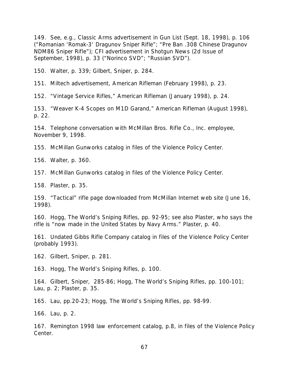149. See, e.g., Classic Arms advertisement in *Gun List* (Sept. 18, 1998), p. 106 ("Romanian 'Romak-3' Dragunov Sniper Rifle"; "Pre Ban .308 Chinese Dragunov NDM86 Sniper Rifle"); CFI advertisement in *Shotgun News* (2d Issue of September, 1998), p. 33 ("Norinco SVD"; "Russian SVD").

150. Walter, p. 339; Gilbert, *Sniper*, p. 284.

151. Miltech advertisement, *American Rifleman* (February 1998), p. 23.

152. "Vintage Service Rifles," *American Rifleman* (January 1998), p. 24.

153. "Weaver K-4 Scopes on M1D Garand," *American Rifleman* (August 1998), p. 22.

154. Telephone conversation with McMillan Bros. Rifle Co., Inc. employee, November 9, 1998.

155. McMillan Gunworks catalog in files of the Violence Policy Center.

156. Walter, p. 360.

157. McMillan Gunworks catalog in files of the Violence Policy Center.

158. Plaster, p. 35.

159. "Tactical" rifle page downloaded from McMillan Internet web site (June 16, 1998).

160. Hogg, *The World's Sniping Rifles*, pp. 92-95; see also Plaster, who says the rifle is "now made in the United States by Navy Arms." Plaster, p. 40.

161. Undated Gibbs Rifle Company catalog in files of the Violence Policy Center (probably 1993).

162. Gilbert, *Sniper*, p. 281.

163. Hogg, *The World's Sniping Rifles*, p. 100.

164. Gilbert, *Sniper*, 285-86; Hogg, *The World's Sniping Rifles*, pp. 100-101; Lau, p. 2; Plaster, p. 35.

165. Lau, pp.20-23; Hogg, *The World's Sniping Rifles*, pp. 98-99.

166. Lau, p. 2.

167. Remington 1998 law enforcement catalog, p.8, in files of the Violence Policy Center.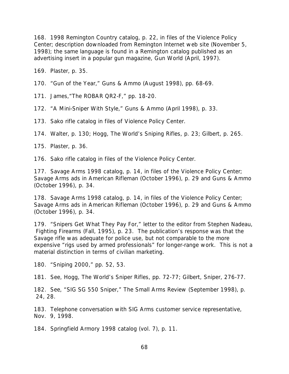168. 1998 *Remington Country* catalog, p. 22, in files of the Violence Policy Center; description downloaded from Remington Internet web site (November 5, 1998); the same language is found in a Remington catalog published as an advertising insert in a popular gun magazine, *Gun World* (April, 1997).

169. Plaster, p. 35.

170. "Gun of the Year," *Guns & Ammo* (August 1998), pp. 68-69.

171. James,"The ROBAR QR2-F," pp. 18-20.

172. "A Mini-Sniper With Style," *Guns & Ammo* (April 1998), p. 33.

173. Sako rifle catalog in files of Violence Policy Center.

174. Walter, p. 130; Hogg, *The World's Sniping Rifles*, p. 23; Gilbert, p. 265.

175. Plaster, p. 36.

176. Sako rifle catalog in files of the Violence Policy Center.

177. Savage Arms 1998 catalog, p. 14, in files of the Violence Policy Center; Savage Arms ads in *American Rifleman* (October 1996), p. 29 and *Guns & Ammo* (October 1996), p. 34.

178. Savage Arms 1998 catalog, p. 14, in files of the Violence Policy Center; Savage Arms ads in *American Rifleman* (October 1996), p. 29 and *Guns & Ammo* (October 1996), p. 34.

179. "Snipers Get What They Pay For," letter to the editor from Stephen Nadeau,  *Fighting Firearms* (Fall, 1995), p. 23. The publication's response was that the Savage rifle was adequate for police use, but not comparable to the more expensive "rigs used by armed professionals" for longer-range work. This is not a material distinction in terms of civilian marketing.

180. "Sniping 2000," pp. 52, 53.

181. See, Hogg, *The World's Sniper Rifles*, pp. 72-77; Gilbert, *Sniper*, 276-77.

182. See, "SIG SG 550 Sniper," *The Small Arms Review* (September 1998), p. 24, 28.

183. Telephone conversation with SIG Arms customer service representative, Nov. 9, 1998.

184. Springfield Armory 1998 catalog (vol. 7), p. 11.